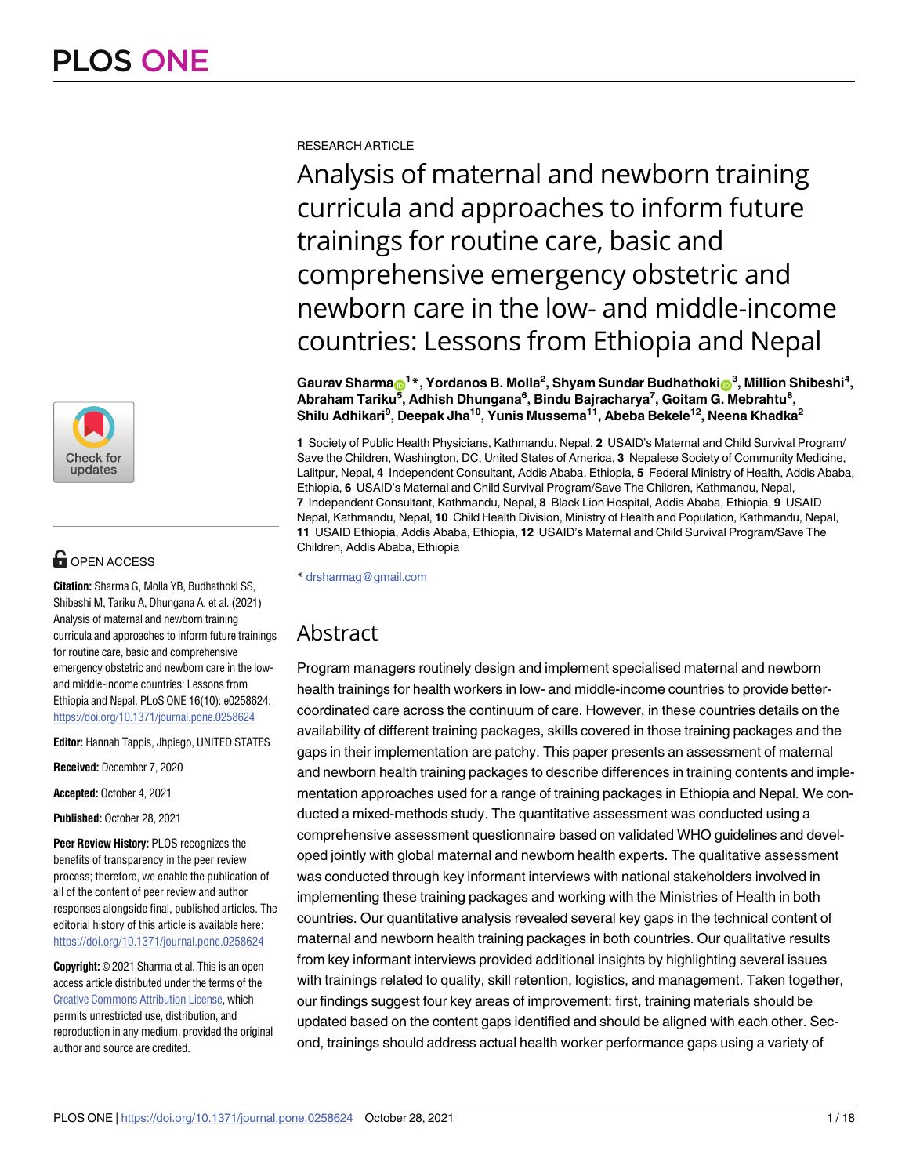

# $\blacksquare$  OPEN ACCESS

**Citation:** Sharma G, Molla YB, Budhathoki SS, Shibeshi M, Tariku A, Dhungana A, et al. (2021) Analysis of maternal and newborn training curricula and approaches to inform future trainings for routine care, basic and comprehensive emergency obstetric and newborn care in the lowand middle-income countries: Lessons from Ethiopia and Nepal. PLoS ONE 16(10): e0258624. <https://doi.org/10.1371/journal.pone.0258624>

**Editor:** Hannah Tappis, Jhpiego, UNITED STATES

**Received:** December 7, 2020

**Accepted:** October 4, 2021

**Published:** October 28, 2021

**Peer Review History:** PLOS recognizes the benefits of transparency in the peer review process; therefore, we enable the publication of all of the content of peer review and author responses alongside final, published articles. The editorial history of this article is available here: <https://doi.org/10.1371/journal.pone.0258624>

**Copyright:** © 2021 Sharma et al. This is an open access article distributed under the terms of the Creative Commons [Attribution](http://creativecommons.org/licenses/by/4.0/) License, which permits unrestricted use, distribution, and reproduction in any medium, provided the original author and source are credited.

RESEARCH ARTICLE

Analysis of maternal and newborn training curricula and approaches to inform future trainings for routine care, basic and comprehensive emergency obstetric and newborn care in the low- and middle-income countries: Lessons from Ethiopia and Nepal

 $\delta$ Gaurav Sharma $\delta$ <sup>1</sup> $^*$ , Yordanos B. Molla<sup>2</sup>, Shyam Sundar Budhathoki $\delta$ <sup>3</sup>, Million Shibeshi<sup>4</sup>, **Abraham Tariku5 , Adhish Dhungana6 , Bindu Bajracharya7 , Goitam G. Mebrahtu8 , Shilu Adhikari9 , Deepak Jha10, Yunis Mussema11, Abeba Bekele12, Neena Khadka2**

**1** Society of Public Health Physicians, Kathmandu, Nepal, **2** USAID's Maternal and Child Survival Program/ Save the Children, Washington, DC, United States of America, **3** Nepalese Society of Community Medicine, Lalitpur, Nepal, **4** Independent Consultant, Addis Ababa, Ethiopia, **5** Federal Ministry of Health, Addis Ababa, Ethiopia, **6** USAID's Maternal and Child Survival Program/Save The Children, Kathmandu, Nepal, **7** Independent Consultant, Kathmandu, Nepal, **8** Black Lion Hospital, Addis Ababa, Ethiopia, **9** USAID Nepal, Kathmandu, Nepal, **10** Child Health Division, Ministry of Health and Population, Kathmandu, Nepal, **11** USAID Ethiopia, Addis Ababa, Ethiopia, **12** USAID's Maternal and Child Survival Program/Save The Children, Addis Ababa, Ethiopia

\* drsharmag@gmail.com

# Abstract

Program managers routinely design and implement specialised maternal and newborn health trainings for health workers in low- and middle-income countries to provide bettercoordinated care across the continuum of care. However, in these countries details on the availability of different training packages, skills covered in those training packages and the gaps in their implementation are patchy. This paper presents an assessment of maternal and newborn health training packages to describe differences in training contents and implementation approaches used for a range of training packages in Ethiopia and Nepal. We conducted a mixed-methods study. The quantitative assessment was conducted using a comprehensive assessment questionnaire based on validated WHO guidelines and developed jointly with global maternal and newborn health experts. The qualitative assessment was conducted through key informant interviews with national stakeholders involved in implementing these training packages and working with the Ministries of Health in both countries. Our quantitative analysis revealed several key gaps in the technical content of maternal and newborn health training packages in both countries. Our qualitative results from key informant interviews provided additional insights by highlighting several issues with trainings related to quality, skill retention, logistics, and management. Taken together, our findings suggest four key areas of improvement: first, training materials should be updated based on the content gaps identified and should be aligned with each other. Second, trainings should address actual health worker performance gaps using a variety of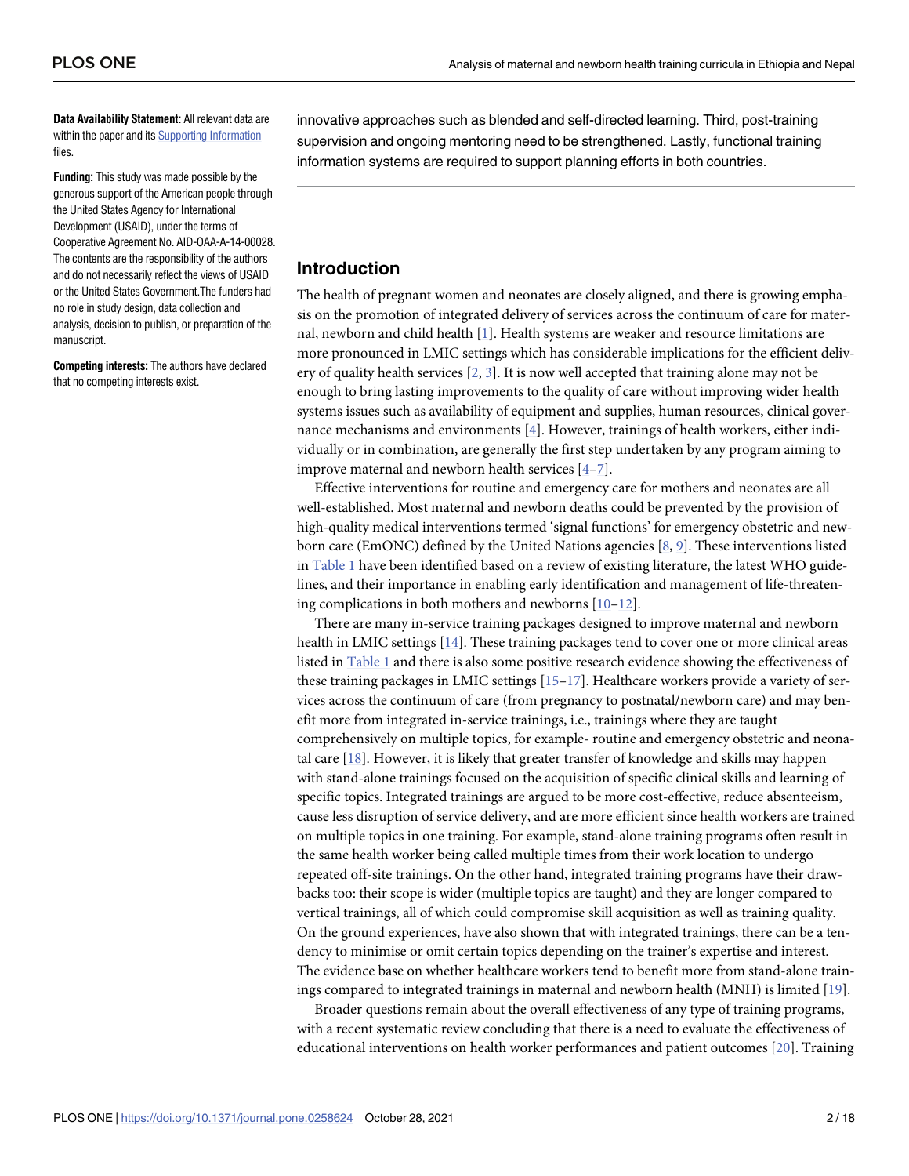<span id="page-1-0"></span>**Data Availability Statement:** All relevant data are within the paper and its Supporting [Information](#page-14-0) files.

**Funding:** This study was made possible by the generous support of the American people through the United States Agency for International Development (USAID), under the terms of Cooperative Agreement No. AID-OAA-A-14-00028. The contents are the responsibility of the authors and do not necessarily reflect the views of USAID or the United States Government.The funders had no role in study design, data collection and analysis, decision to publish, or preparation of the manuscript.

**Competing interests:** The authors have declared that no competing interests exist.

innovative approaches such as blended and self-directed learning. Third, post-training supervision and ongoing mentoring need to be strengthened. Lastly, functional training information systems are required to support planning efforts in both countries.

# **Introduction**

The health of pregnant women and neonates are closely aligned, and there is growing emphasis on the promotion of integrated delivery of services across the continuum of care for maternal, newborn and child health [\[1](#page-15-0)]. Health systems are weaker and resource limitations are more pronounced in LMIC settings which has considerable implications for the efficient delivery of quality health services [[2](#page-15-0), [3\]](#page-15-0). It is now well accepted that training alone may not be enough to bring lasting improvements to the quality of care without improving wider health systems issues such as availability of equipment and supplies, human resources, clinical governance mechanisms and environments [[4](#page-15-0)]. However, trainings of health workers, either individually or in combination, are generally the first step undertaken by any program aiming to improve maternal and newborn health services [\[4–7](#page-15-0)].

Effective interventions for routine and emergency care for mothers and neonates are all well-established. Most maternal and newborn deaths could be prevented by the provision of high-quality medical interventions termed 'signal functions' for emergency obstetric and newborn care (EmONC) defined by the United Nations agencies [\[8](#page-16-0), [9](#page-16-0)]. These interventions listed in [Table](#page-2-0) 1 have been identified based on a review of existing literature, the latest WHO guidelines, and their importance in enabling early identification and management of life-threatening complications in both mothers and newborns [\[10–12](#page-16-0)].

There are many in-service training packages designed to improve maternal and newborn health in LMIC settings [[14\]](#page-16-0). These training packages tend to cover one or more clinical areas listed in [Table](#page-2-0) 1 and there is also some positive research evidence showing the effectiveness of these training packages in LMIC settings [\[15–17](#page-16-0)]. Healthcare workers provide a variety of services across the continuum of care (from pregnancy to postnatal/newborn care) and may benefit more from integrated in-service trainings, i.e., trainings where they are taught comprehensively on multiple topics, for example- routine and emergency obstetric and neonatal care  $[18]$ . However, it is likely that greater transfer of knowledge and skills may happen with stand-alone trainings focused on the acquisition of specific clinical skills and learning of specific topics. Integrated trainings are argued to be more cost-effective, reduce absenteeism, cause less disruption of service delivery, and are more efficient since health workers are trained on multiple topics in one training. For example, stand-alone training programs often result in the same health worker being called multiple times from their work location to undergo repeated off-site trainings. On the other hand, integrated training programs have their drawbacks too: their scope is wider (multiple topics are taught) and they are longer compared to vertical trainings, all of which could compromise skill acquisition as well as training quality. On the ground experiences, have also shown that with integrated trainings, there can be a tendency to minimise or omit certain topics depending on the trainer's expertise and interest. The evidence base on whether healthcare workers tend to benefit more from stand-alone trainings compared to integrated trainings in maternal and newborn health (MNH) is limited [[19](#page-16-0)].

Broader questions remain about the overall effectiveness of any type of training programs, with a recent systematic review concluding that there is a need to evaluate the effectiveness of educational interventions on health worker performances and patient outcomes [[20](#page-16-0)]. Training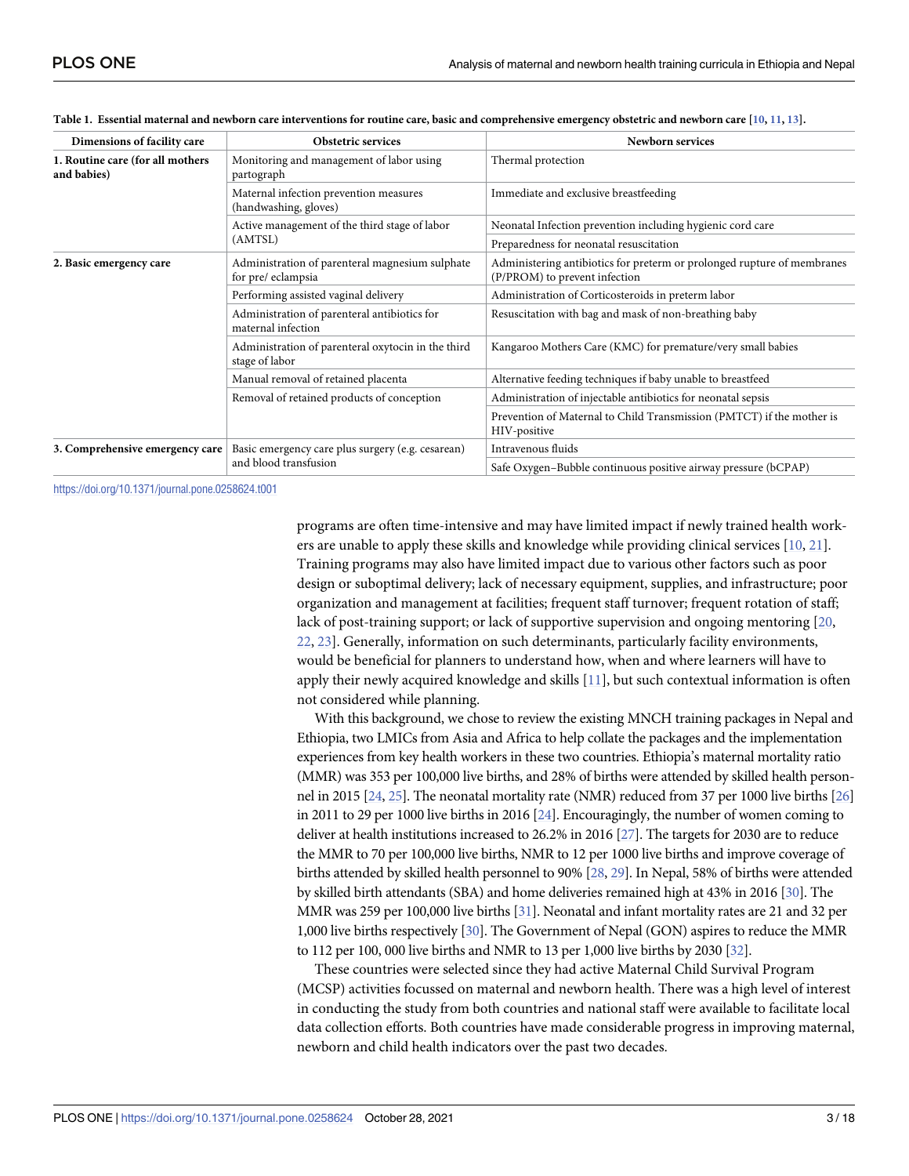| Dimensions of facility care                     | <b>Obstetric services</b>                                                                  | Newborn services                                                                                         |  |  |
|-------------------------------------------------|--------------------------------------------------------------------------------------------|----------------------------------------------------------------------------------------------------------|--|--|
| 1. Routine care (for all mothers<br>and babies) | Monitoring and management of labor using<br>partograph                                     | Thermal protection                                                                                       |  |  |
|                                                 | Maternal infection prevention measures<br>(handwashing, gloves)                            | Immediate and exclusive breastfeeding                                                                    |  |  |
|                                                 | Active management of the third stage of labor                                              | Neonatal Infection prevention including hygienic cord care                                               |  |  |
|                                                 | (AMTSL)                                                                                    | Preparedness for neonatal resuscitation                                                                  |  |  |
| 2. Basic emergency care                         | Administration of parenteral magnesium sulphate<br>for pre/eclampsia                       | Administering antibiotics for preterm or prolonged rupture of membranes<br>(P/PROM) to prevent infection |  |  |
|                                                 | Performing assisted vaginal delivery<br>Administration of Corticosteroids in preterm labor |                                                                                                          |  |  |
|                                                 | Administration of parenteral antibiotics for<br>maternal infection                         | Resuscitation with bag and mask of non-breathing baby                                                    |  |  |
|                                                 | Administration of parenteral oxytocin in the third<br>stage of labor                       | Kangaroo Mothers Care (KMC) for premature/very small babies                                              |  |  |
|                                                 | Manual removal of retained placenta                                                        | Alternative feeding techniques if baby unable to breastfeed                                              |  |  |
|                                                 | Removal of retained products of conception                                                 | Administration of injectable antibiotics for neonatal sepsis                                             |  |  |
|                                                 |                                                                                            | Prevention of Maternal to Child Transmission (PMTCT) if the mother is<br>HIV-positive                    |  |  |
| 3. Comprehensive emergency care                 | Basic emergency care plus surgery (e.g. cesarean)                                          | Intravenous fluids                                                                                       |  |  |
|                                                 | and blood transfusion                                                                      | Safe Oxygen-Bubble continuous positive airway pressure (bCPAP)                                           |  |  |

<span id="page-2-0"></span>

| Table 1. Essential maternal and newborn care interventions for routine care, basic and comprehensive emergency obstetric and newborn care [10, 11, 13]. |  |  |  |  |  |
|---------------------------------------------------------------------------------------------------------------------------------------------------------|--|--|--|--|--|
|                                                                                                                                                         |  |  |  |  |  |

<https://doi.org/10.1371/journal.pone.0258624.t001>

programs are often time-intensive and may have limited impact if newly trained health workers are unable to apply these skills and knowledge while providing clinical services [\[10,](#page-16-0) [21\]](#page-16-0). Training programs may also have limited impact due to various other factors such as poor design or suboptimal delivery; lack of necessary equipment, supplies, and infrastructure; poor organization and management at facilities; frequent staff turnover; frequent rotation of staff; lack of post-training support; or lack of supportive supervision and ongoing mentoring [\[20,](#page-16-0) [22,](#page-16-0) [23](#page-16-0)]. Generally, information on such determinants, particularly facility environments, would be beneficial for planners to understand how, when and where learners will have to apply their newly acquired knowledge and skills [[11](#page-16-0)], but such contextual information is often not considered while planning.

With this background, we chose to review the existing MNCH training packages in Nepal and Ethiopia, two LMICs from Asia and Africa to help collate the packages and the implementation experiences from key health workers in these two countries. Ethiopia's maternal mortality ratio (MMR) was 353 per 100,000 live births, and 28% of births were attended by skilled health personnel in 2015 [\[24](#page-16-0), [25\]](#page-16-0). The neonatal mortality rate (NMR) reduced from 37 per 1000 live births [\[26](#page-16-0)] in 2011 to 29 per 1000 live births in 2016 [\[24\]](#page-16-0). Encouragingly, the number of women coming to deliver at health institutions increased to 26.2% in 2016 [\[27\]](#page-16-0). The targets for 2030 are to reduce the MMR to 70 per 100,000 live births, NMR to 12 per 1000 live births and improve coverage of births attended by skilled health personnel to 90% [\[28](#page-16-0), [29\]](#page-16-0). In Nepal, 58% of births were attended by skilled birth attendants (SBA) and home deliveries remained high at 43% in 2016 [\[30](#page-17-0)]. The MMR was 259 per 100,000 live births [\[31](#page-17-0)]. Neonatal and infant mortality rates are 21 and 32 per 1,000 live births respectively [[30\]](#page-17-0). The Government of Nepal (GON) aspires to reduce the MMR to 112 per 100, 000 live births and NMR to 13 per 1,000 live births by 2030 [\[32](#page-17-0)].

These countries were selected since they had active Maternal Child Survival Program (MCSP) activities focussed on maternal and newborn health. There was a high level of interest in conducting the study from both countries and national staff were available to facilitate local data collection efforts. Both countries have made considerable progress in improving maternal, newborn and child health indicators over the past two decades.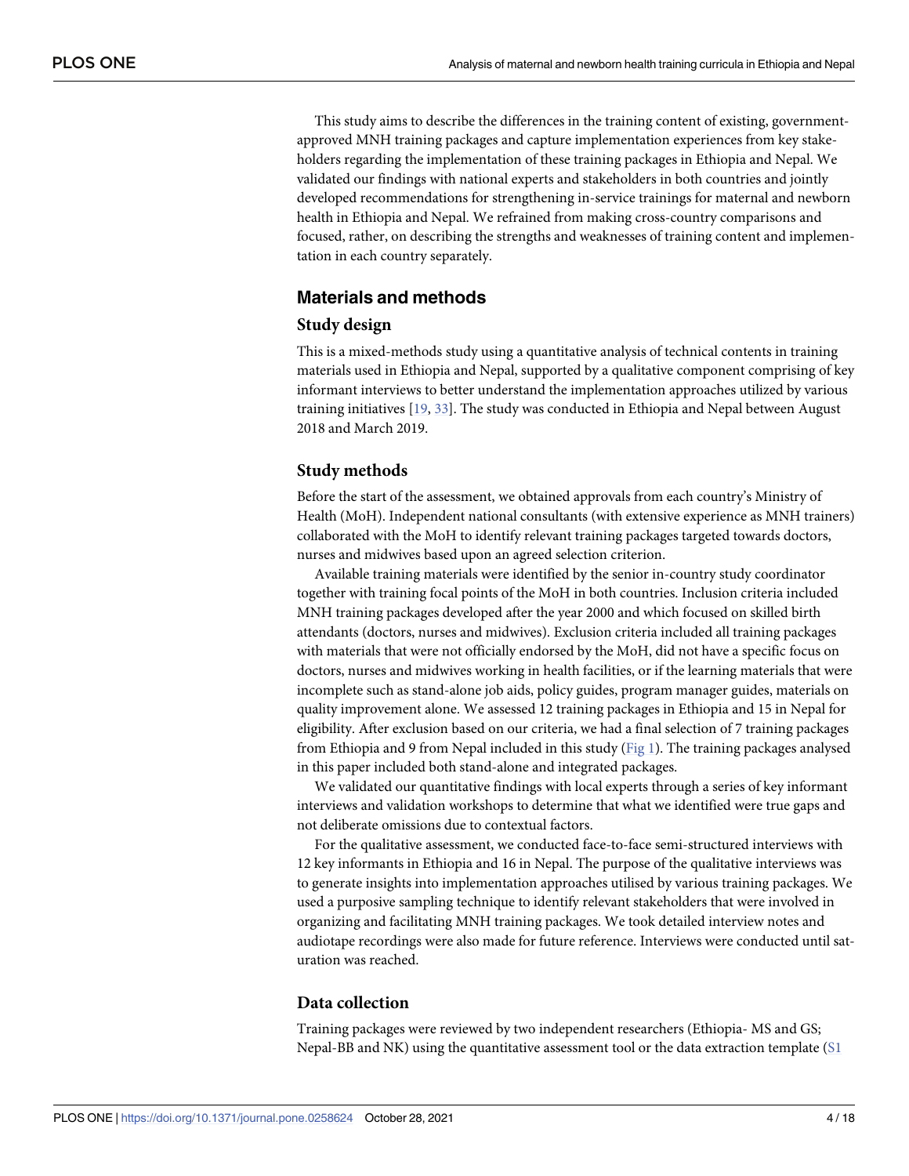<span id="page-3-0"></span>This study aims to describe the differences in the training content of existing, governmentapproved MNH training packages and capture implementation experiences from key stakeholders regarding the implementation of these training packages in Ethiopia and Nepal. We validated our findings with national experts and stakeholders in both countries and jointly developed recommendations for strengthening in-service trainings for maternal and newborn health in Ethiopia and Nepal. We refrained from making cross-country comparisons and focused, rather, on describing the strengths and weaknesses of training content and implementation in each country separately.

# **Materials and methods**

## **Study design**

This is a mixed-methods study using a quantitative analysis of technical contents in training materials used in Ethiopia and Nepal, supported by a qualitative component comprising of key informant interviews to better understand the implementation approaches utilized by various training initiatives [[19](#page-16-0), [33](#page-17-0)]. The study was conducted in Ethiopia and Nepal between August 2018 and March 2019.

## **Study methods**

Before the start of the assessment, we obtained approvals from each country's Ministry of Health (MoH). Independent national consultants (with extensive experience as MNH trainers) collaborated with the MoH to identify relevant training packages targeted towards doctors, nurses and midwives based upon an agreed selection criterion.

Available training materials were identified by the senior in-country study coordinator together with training focal points of the MoH in both countries. Inclusion criteria included MNH training packages developed after the year 2000 and which focused on skilled birth attendants (doctors, nurses and midwives). Exclusion criteria included all training packages with materials that were not officially endorsed by the MoH, did not have a specific focus on doctors, nurses and midwives working in health facilities, or if the learning materials that were incomplete such as stand-alone job aids, policy guides, program manager guides, materials on quality improvement alone. We assessed 12 training packages in Ethiopia and 15 in Nepal for eligibility. After exclusion based on our criteria, we had a final selection of 7 training packages from Ethiopia and 9 from Nepal included in this study ([Fig](#page-4-0) 1). The training packages analysed in this paper included both stand-alone and integrated packages.

We validated our quantitative findings with local experts through a series of key informant interviews and validation workshops to determine that what we identified were true gaps and not deliberate omissions due to contextual factors.

For the qualitative assessment, we conducted face-to-face semi-structured interviews with 12 key informants in Ethiopia and 16 in Nepal. The purpose of the qualitative interviews was to generate insights into implementation approaches utilised by various training packages. We used a purposive sampling technique to identify relevant stakeholders that were involved in organizing and facilitating MNH training packages. We took detailed interview notes and audiotape recordings were also made for future reference. Interviews were conducted until saturation was reached.

# **Data collection**

Training packages were reviewed by two independent researchers (Ethiopia- MS and GS; Nepal-BB and NK) using the quantitative assessment tool or the data extraction template ([S1](#page-14-0)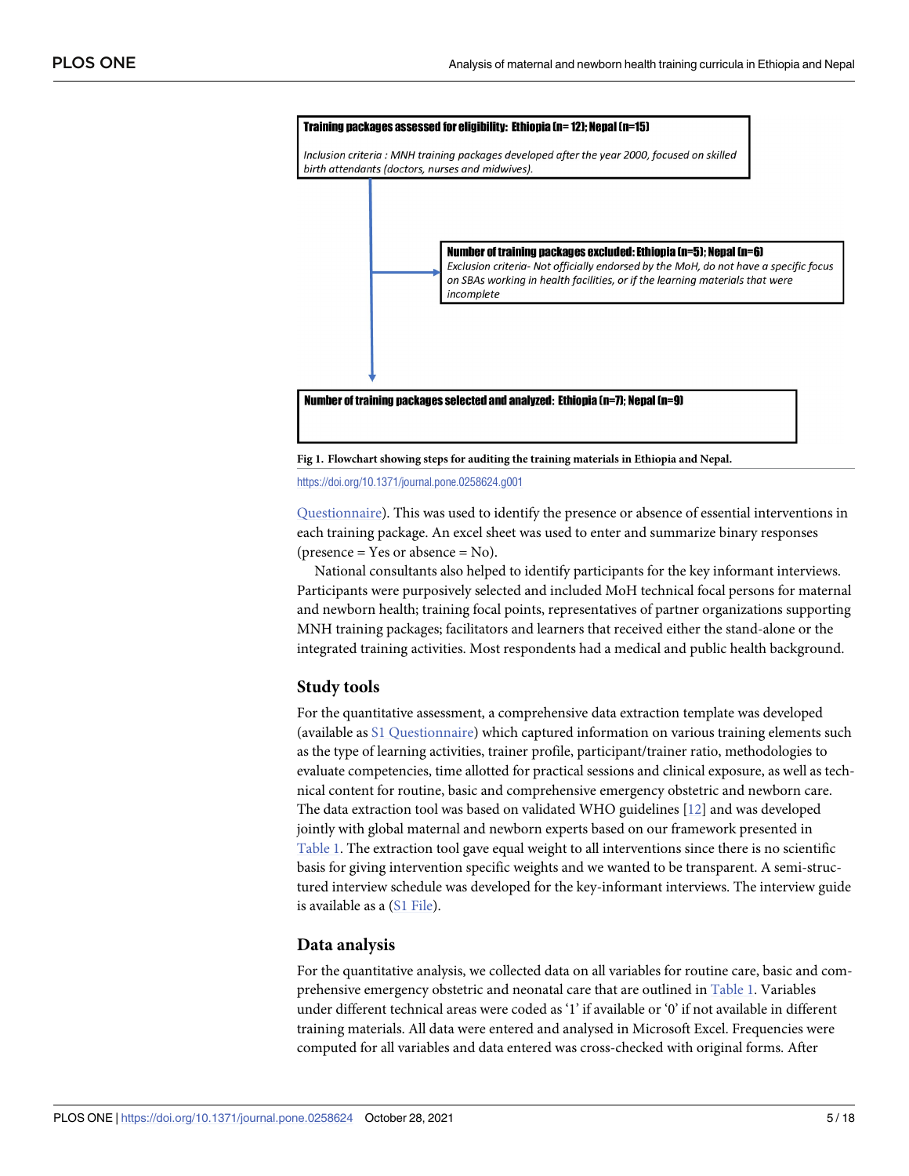<span id="page-4-0"></span>

**[Fig](#page-3-0) 1. Flowchart showing steps for auditing the training materials in Ethiopia and Nepal.**

<https://doi.org/10.1371/journal.pone.0258624.g001>

[Questionnaire](#page-14-0)). This was used to identify the presence or absence of essential interventions in each training package. An excel sheet was used to enter and summarize binary responses  $$ (presence = Yes or absence = No).

National consultants also helped to identify participants for the key informant interviews. Participants were purposively selected and included MoH technical focal persons for maternal and newborn health; training focal points, representatives of partner organizations supporting MNH training packages; facilitators and learners that received either the stand-alone or the integrated training activities. Most respondents had a medical and public health background.

#### **Study tools**

For the quantitative assessment, a comprehensive data extraction template was developed (available as S1 [Questionnaire](#page-14-0)) which captured information on various training elements such as the type of learning activities, trainer profile, participant/trainer ratio, methodologies to evaluate competencies, time allotted for practical sessions and clinical exposure, as well as technical content for routine, basic and comprehensive emergency obstetric and newborn care. The data extraction tool was based on validated WHO guidelines [\[12\]](#page-16-0) and was developed jointly with global maternal and newborn experts based on our framework presented in [Table](#page-2-0) 1. The extraction tool gave equal weight to all interventions since there is no scientific basis for giving intervention specific weights and we wanted to be transparent. A semi-structured interview schedule was developed for the key-informant interviews. The interview guide is available as a (S1 [File\)](#page-14-0).

#### **Data analysis**

For the quantitative analysis, we collected data on all variables for routine care, basic and comprehensive emergency obstetric and neonatal care that are outlined in [Table](#page-2-0) 1. Variables under different technical areas were coded as '1' if available or '0' if not available in different training materials. All data were entered and analysed in Microsoft Excel. Frequencies were computed for all variables and data entered was cross-checked with original forms. After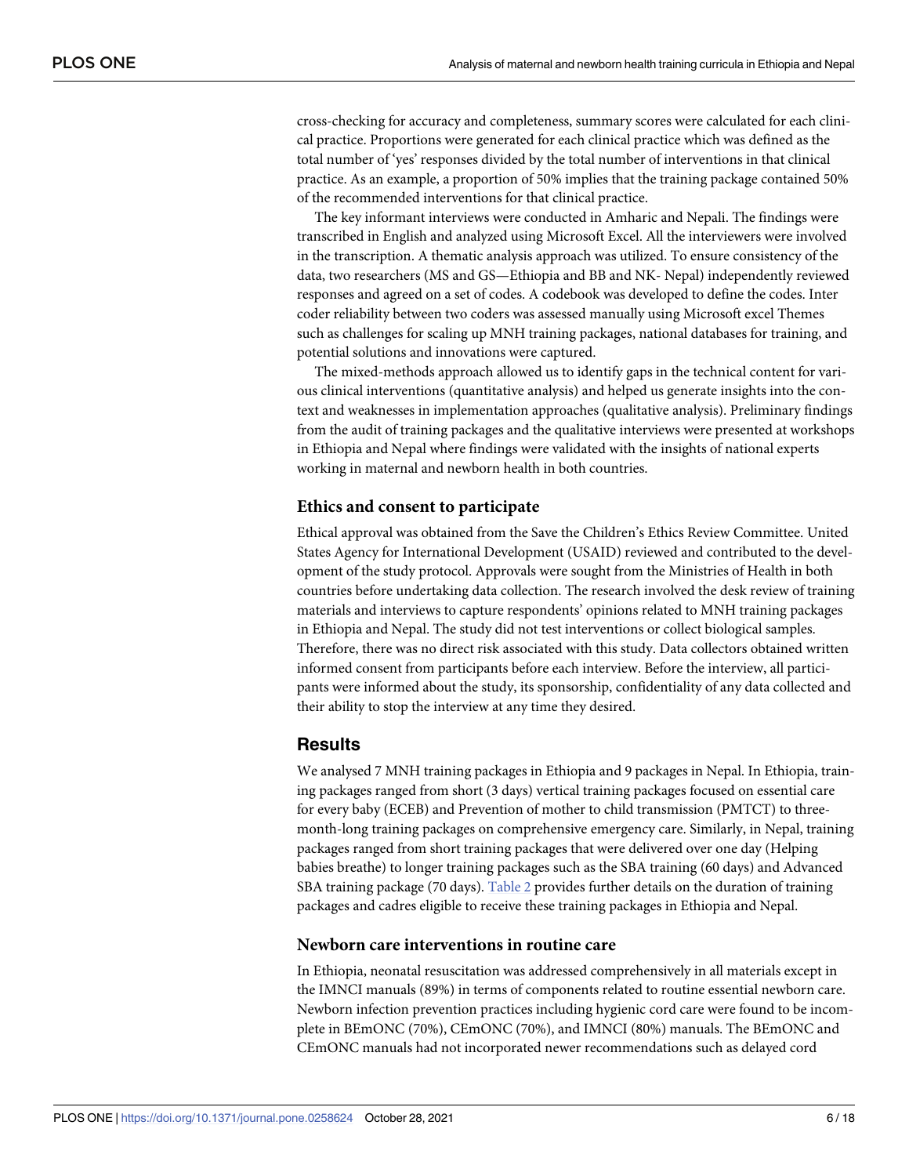<span id="page-5-0"></span>cross-checking for accuracy and completeness, summary scores were calculated for each clinical practice. Proportions were generated for each clinical practice which was defined as the total number of 'yes' responses divided by the total number of interventions in that clinical practice. As an example, a proportion of 50% implies that the training package contained 50% of the recommended interventions for that clinical practice.

The key informant interviews were conducted in Amharic and Nepali. The findings were transcribed in English and analyzed using Microsoft Excel. All the interviewers were involved in the transcription. A thematic analysis approach was utilized. To ensure consistency of the data, two researchers (MS and GS—Ethiopia and BB and NK- Nepal) independently reviewed responses and agreed on a set of codes. A codebook was developed to define the codes. Inter coder reliability between two coders was assessed manually using Microsoft excel Themes such as challenges for scaling up MNH training packages, national databases for training, and potential solutions and innovations were captured.

The mixed-methods approach allowed us to identify gaps in the technical content for various clinical interventions (quantitative analysis) and helped us generate insights into the context and weaknesses in implementation approaches (qualitative analysis). Preliminary findings from the audit of training packages and the qualitative interviews were presented at workshops in Ethiopia and Nepal where findings were validated with the insights of national experts working in maternal and newborn health in both countries.

## **Ethics and consent to participate**

Ethical approval was obtained from the Save the Children's Ethics Review Committee. United States Agency for International Development (USAID) reviewed and contributed to the development of the study protocol. Approvals were sought from the Ministries of Health in both countries before undertaking data collection. The research involved the desk review of training materials and interviews to capture respondents' opinions related to MNH training packages in Ethiopia and Nepal. The study did not test interventions or collect biological samples. Therefore, there was no direct risk associated with this study. Data collectors obtained written informed consent from participants before each interview. Before the interview, all participants were informed about the study, its sponsorship, confidentiality of any data collected and their ability to stop the interview at any time they desired.

## **Results**

We analysed 7 MNH training packages in Ethiopia and 9 packages in Nepal. In Ethiopia, training packages ranged from short (3 days) vertical training packages focused on essential care for every baby (ECEB) and Prevention of mother to child transmission (PMTCT) to threemonth-long training packages on comprehensive emergency care. Similarly, in Nepal, training packages ranged from short training packages that were delivered over one day (Helping babies breathe) to longer training packages such as the SBA training (60 days) and Advanced SBA training package (70 days). [Table](#page-6-0) 2 provides further details on the duration of training packages and cadres eligible to receive these training packages in Ethiopia and Nepal.

#### **Newborn care interventions in routine care**

In Ethiopia, neonatal resuscitation was addressed comprehensively in all materials except in the IMNCI manuals (89%) in terms of components related to routine essential newborn care. Newborn infection prevention practices including hygienic cord care were found to be incomplete in BEmONC (70%), CEmONC (70%), and IMNCI (80%) manuals. The BEmONC and CEmONC manuals had not incorporated newer recommendations such as delayed cord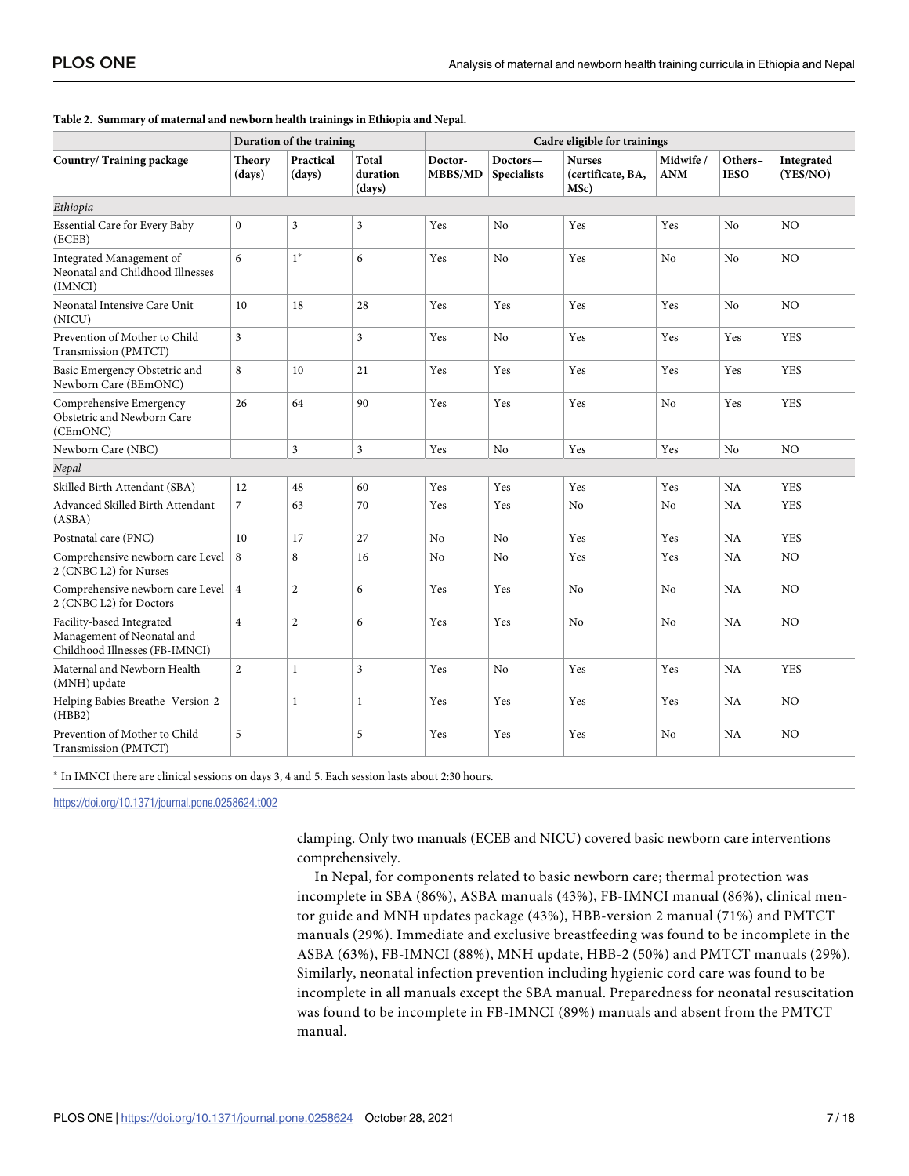|                                                                                           | Duration of the training |                     |                             | Cadre eligible for trainings |                                |                                            |                         |                        |                        |
|-------------------------------------------------------------------------------------------|--------------------------|---------------------|-----------------------------|------------------------------|--------------------------------|--------------------------------------------|-------------------------|------------------------|------------------------|
| Country/Training package                                                                  | <b>Theory</b><br>(days)  | Practical<br>(days) | Total<br>duration<br>(days) | Doctor-<br>MBBS/MD           | Doctors-<br><b>Specialists</b> | <b>Nurses</b><br>(certificate, BA,<br>MSc) | Midwife /<br><b>ANM</b> | Others-<br><b>IESO</b> | Integrated<br>(YES/NO) |
| Ethiopia                                                                                  |                          |                     |                             |                              |                                |                                            |                         |                        |                        |
| <b>Essential Care for Every Baby</b><br>(ECEB)                                            | $\mathbf{0}$             | 3                   | 3                           | Yes                          | No                             | Yes                                        | Yes                     | N <sub>o</sub>         | N <sub>O</sub>         |
| Integrated Management of<br>Neonatal and Childhood Illnesses<br>(IMNCI)                   | 6                        | $1^*$               | 6                           | Yes                          | No                             | Yes                                        | No                      | N <sub>o</sub>         | N <sub>O</sub>         |
| Neonatal Intensive Care Unit<br>(NICU)                                                    | 10                       | 18                  | 28                          | Yes                          | Yes                            | Yes                                        | Yes                     | No                     | NO                     |
| Prevention of Mother to Child<br>Transmission (PMTCT)                                     | $\mathfrak{Z}$           |                     | $\mathfrak{Z}$              | Yes                          | No                             | Yes                                        | Yes                     | Yes                    | <b>YES</b>             |
| Basic Emergency Obstetric and<br>Newborn Care (BEmONC)                                    | 8                        | 10                  | 21                          | Yes                          | Yes                            | Yes                                        | Yes                     | Yes                    | <b>YES</b>             |
| Comprehensive Emergency<br>Obstetric and Newborn Care<br>(CEmONC)                         | 26                       | 64                  | 90                          | Yes                          | Yes                            | Yes                                        | N <sub>o</sub>          | Yes                    | <b>YES</b>             |
| Newborn Care (NBC)                                                                        |                          | 3                   | $\mathfrak{Z}$              | Yes                          | No                             | Yes                                        | Yes                     | No                     | NO                     |
| Nepal                                                                                     |                          |                     |                             |                              |                                |                                            |                         |                        |                        |
| Skilled Birth Attendant (SBA)                                                             | 12                       | 48                  | 60                          | Yes                          | Yes                            | Yes                                        | Yes                     | NA                     | <b>YES</b>             |
| Advanced Skilled Birth Attendant<br>(ASBA)                                                | $\overline{7}$           | 63                  | 70                          | Yes                          | Yes                            | No                                         | No                      | NA                     | <b>YES</b>             |
| Postnatal care (PNC)                                                                      | 10                       | 17                  | 27                          | No                           | No                             | Yes                                        | Yes                     | NA                     | <b>YES</b>             |
| Comprehensive newborn care Level<br>2 (CNBC L2) for Nurses                                | 8                        | 8                   | 16                          | No                           | No                             | Yes                                        | Yes                     | NA                     | N <sub>O</sub>         |
| Comprehensive newborn care Level<br>2 (CNBC L2) for Doctors                               | $\overline{4}$           | $\overline{c}$      | 6                           | Yes                          | Yes                            | No                                         | No                      | NA                     | N <sub>O</sub>         |
| Facility-based Integrated<br>Management of Neonatal and<br>Childhood Illnesses (FB-IMNCI) | $\overline{4}$           | $\overline{c}$      | 6                           | Yes                          | Yes                            | No                                         | N <sub>o</sub>          | NA                     | N <sub>O</sub>         |
| Maternal and Newborn Health<br>(MNH) update                                               | $\overline{2}$           | $\mathbf{1}$        | $\overline{3}$              | Yes                          | No                             | Yes                                        | Yes                     | NA                     | <b>YES</b>             |
| Helping Babies Breathe-Version-2<br>(HBB2)                                                |                          | $\,1$               | $\mathbf{1}$                | Yes                          | Yes                            | Yes                                        | Yes                     | <b>NA</b>              | NO                     |
| Prevention of Mother to Child<br>Transmission (PMTCT)                                     | 5                        |                     | 5                           | Yes                          | Yes                            | Yes                                        | No                      | NA                     | N <sub>O</sub>         |

#### <span id="page-6-0"></span>**[Table](#page-5-0) 2. Summary of maternal and newborn health trainings in Ethiopia and Nepal.**

� In IMNCI there are clinical sessions on days 3, 4 and 5. Each session lasts about 2:30 hours.

<https://doi.org/10.1371/journal.pone.0258624.t002>

clamping. Only two manuals (ECEB and NICU) covered basic newborn care interventions comprehensively.

In Nepal, for components related to basic newborn care; thermal protection was incomplete in SBA (86%), ASBA manuals (43%), FB-IMNCI manual (86%), clinical mentor guide and MNH updates package (43%), HBB-version 2 manual (71%) and PMTCT manuals (29%). Immediate and exclusive breastfeeding was found to be incomplete in the ASBA (63%), FB-IMNCI (88%), MNH update, HBB-2 (50%) and PMTCT manuals (29%). Similarly, neonatal infection prevention including hygienic cord care was found to be incomplete in all manuals except the SBA manual. Preparedness for neonatal resuscitation was found to be incomplete in FB-IMNCI (89%) manuals and absent from the PMTCT manual.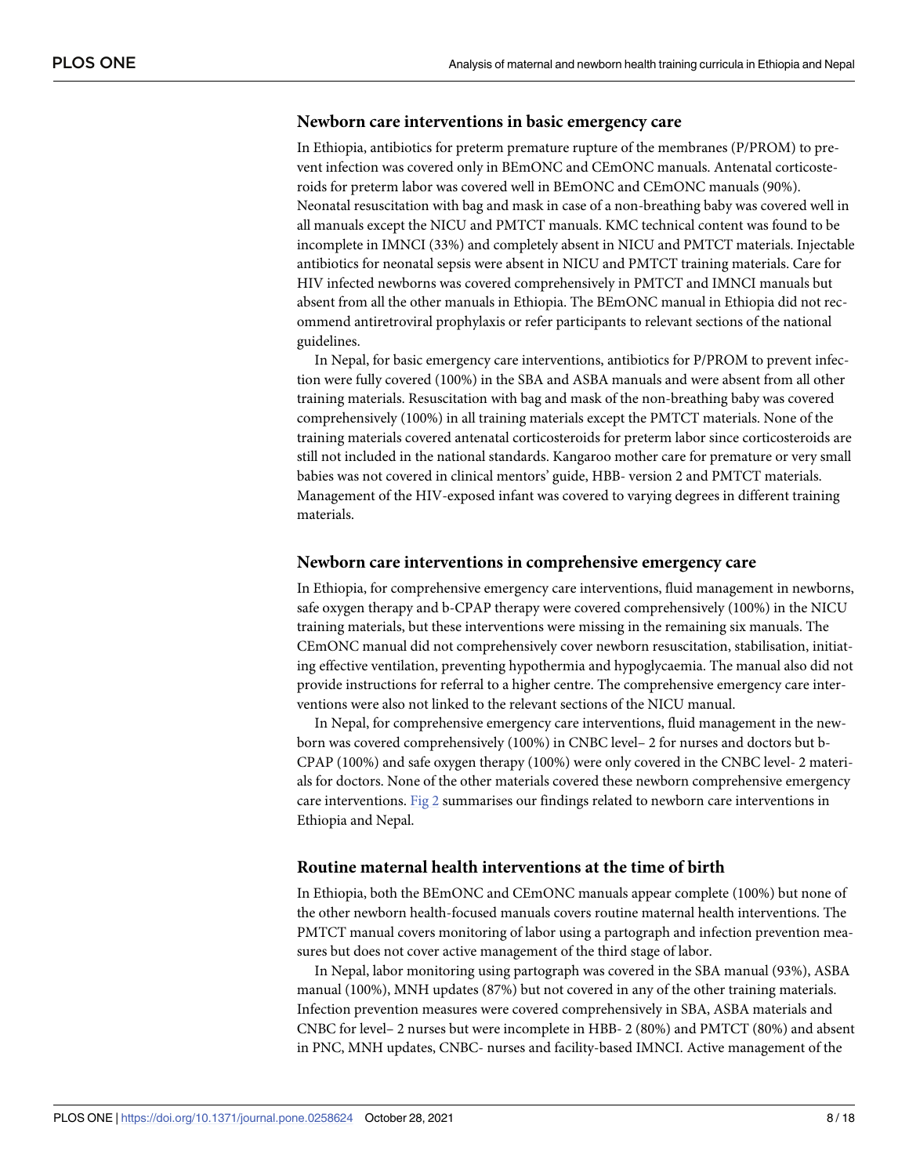#### <span id="page-7-0"></span>**Newborn care interventions in basic emergency care**

In Ethiopia, antibiotics for preterm premature rupture of the membranes (P/PROM) to prevent infection was covered only in BEmONC and CEmONC manuals. Antenatal corticosteroids for preterm labor was covered well in BEmONC and CEmONC manuals (90%). Neonatal resuscitation with bag and mask in case of a non-breathing baby was covered well in all manuals except the NICU and PMTCT manuals. KMC technical content was found to be incomplete in IMNCI (33%) and completely absent in NICU and PMTCT materials. Injectable antibiotics for neonatal sepsis were absent in NICU and PMTCT training materials. Care for HIV infected newborns was covered comprehensively in PMTCT and IMNCI manuals but absent from all the other manuals in Ethiopia. The BEmONC manual in Ethiopia did not recommend antiretroviral prophylaxis or refer participants to relevant sections of the national guidelines.

In Nepal, for basic emergency care interventions, antibiotics for P/PROM to prevent infection were fully covered (100%) in the SBA and ASBA manuals and were absent from all other training materials. Resuscitation with bag and mask of the non-breathing baby was covered comprehensively (100%) in all training materials except the PMTCT materials. None of the training materials covered antenatal corticosteroids for preterm labor since corticosteroids are still not included in the national standards. Kangaroo mother care for premature or very small babies was not covered in clinical mentors' guide, HBB- version 2 and PMTCT materials. Management of the HIV-exposed infant was covered to varying degrees in different training materials.

#### **Newborn care interventions in comprehensive emergency care**

In Ethiopia, for comprehensive emergency care interventions, fluid management in newborns, safe oxygen therapy and b-CPAP therapy were covered comprehensively (100%) in the NICU training materials, but these interventions were missing in the remaining six manuals. The CEmONC manual did not comprehensively cover newborn resuscitation, stabilisation, initiating effective ventilation, preventing hypothermia and hypoglycaemia. The manual also did not provide instructions for referral to a higher centre. The comprehensive emergency care interventions were also not linked to the relevant sections of the NICU manual.

In Nepal, for comprehensive emergency care interventions, fluid management in the newborn was covered comprehensively (100%) in CNBC level– 2 for nurses and doctors but b-CPAP (100%) and safe oxygen therapy (100%) were only covered in the CNBC level- 2 materials for doctors. None of the other materials covered these newborn comprehensive emergency care interventions. [Fig](#page-8-0) 2 summarises our findings related to newborn care interventions in Ethiopia and Nepal.

#### **Routine maternal health interventions at the time of birth**

In Ethiopia, both the BEmONC and CEmONC manuals appear complete (100%) but none of the other newborn health-focused manuals covers routine maternal health interventions. The PMTCT manual covers monitoring of labor using a partograph and infection prevention measures but does not cover active management of the third stage of labor.

In Nepal, labor monitoring using partograph was covered in the SBA manual (93%), ASBA manual (100%), MNH updates (87%) but not covered in any of the other training materials. Infection prevention measures were covered comprehensively in SBA, ASBA materials and CNBC for level– 2 nurses but were incomplete in HBB- 2 (80%) and PMTCT (80%) and absent in PNC, MNH updates, CNBC- nurses and facility-based IMNCI. Active management of the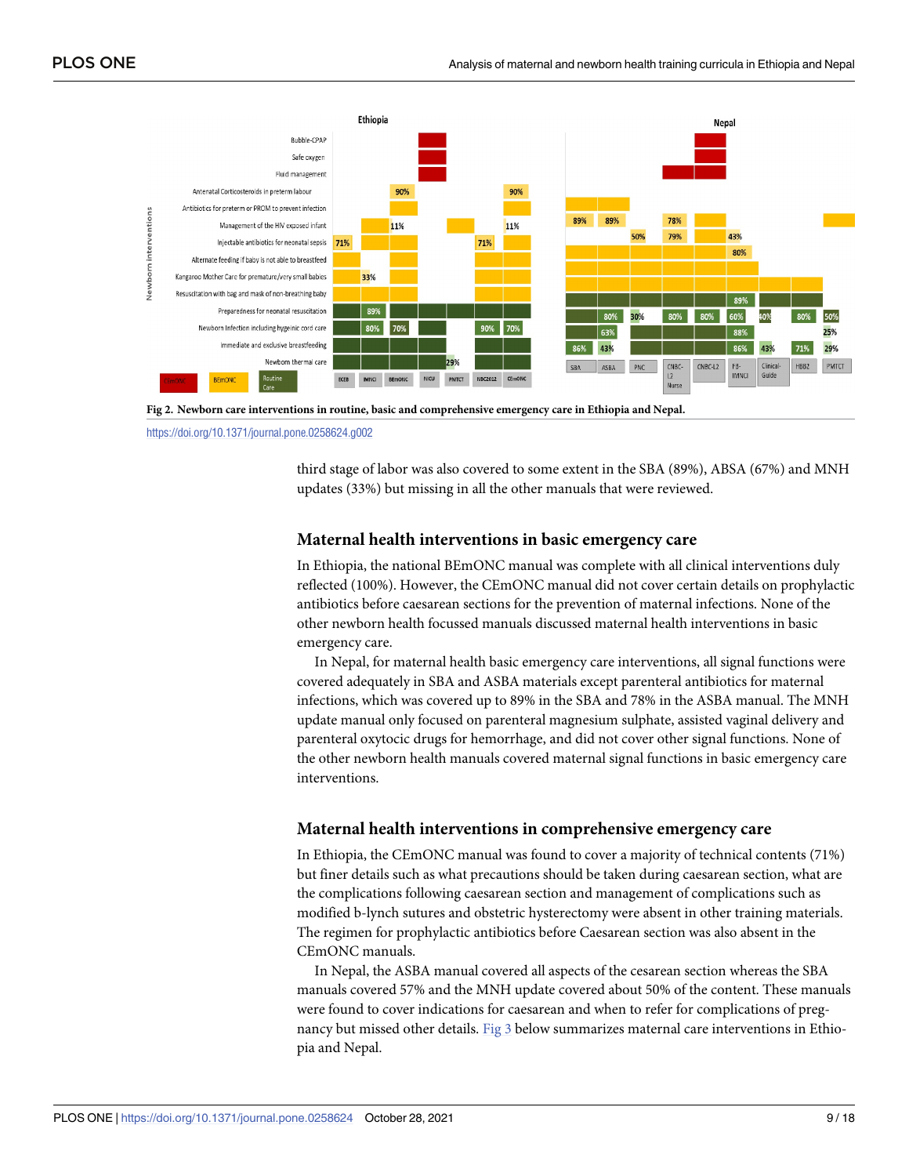<span id="page-8-0"></span>

**[Fig](#page-7-0) 2. Newborn care interventions in routine, basic and comprehensive emergency care in Ethiopia and Nepal.**

<https://doi.org/10.1371/journal.pone.0258624.g002>

third stage of labor was also covered to some extent in the SBA (89%), ABSA (67%) and MNH updates (33%) but missing in all the other manuals that were reviewed.

# **Maternal health interventions in basic emergency care**

In Ethiopia, the national BEmONC manual was complete with all clinical interventions duly reflected (100%). However, the CEmONC manual did not cover certain details on prophylactic antibiotics before caesarean sections for the prevention of maternal infections. None of the other newborn health focussed manuals discussed maternal health interventions in basic emergency care.

In Nepal, for maternal health basic emergency care interventions, all signal functions were covered adequately in SBA and ASBA materials except parenteral antibiotics for maternal infections, which was covered up to 89% in the SBA and 78% in the ASBA manual. The MNH update manual only focused on parenteral magnesium sulphate, assisted vaginal delivery and parenteral oxytocic drugs for hemorrhage, and did not cover other signal functions. None of the other newborn health manuals covered maternal signal functions in basic emergency care interventions.

## **Maternal health interventions in comprehensive emergency care**

In Ethiopia, the CEmONC manual was found to cover a majority of technical contents (71%) but finer details such as what precautions should be taken during caesarean section, what are the complications following caesarean section and management of complications such as modified b-lynch sutures and obstetric hysterectomy were absent in other training materials. The regimen for prophylactic antibiotics before Caesarean section was also absent in the CEmONC manuals.

In Nepal, the ASBA manual covered all aspects of the cesarean section whereas the SBA manuals covered 57% and the MNH update covered about 50% of the content. These manuals were found to cover indications for caesarean and when to refer for complications of pregnancy but missed other details. [Fig](#page-9-0) 3 below summarizes maternal care interventions in Ethiopia and Nepal.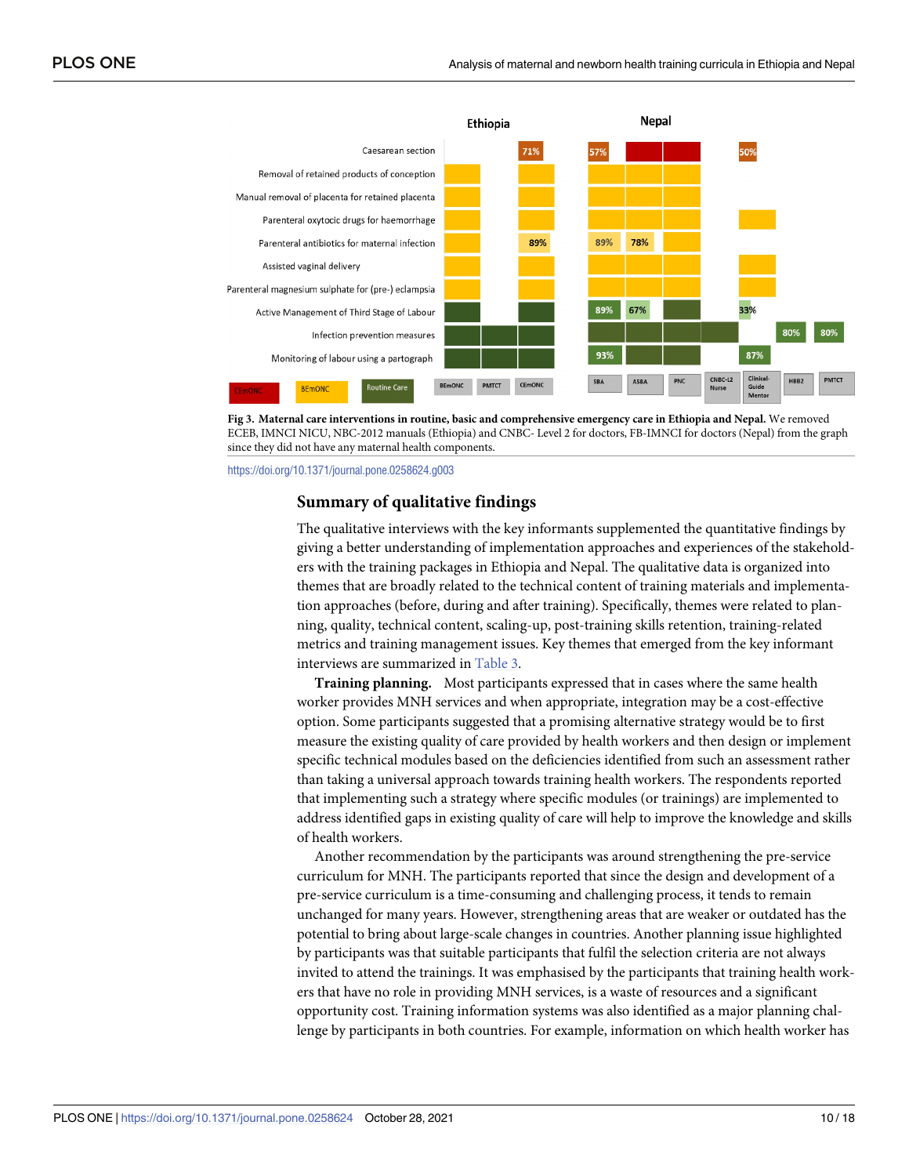<span id="page-9-0"></span>



<https://doi.org/10.1371/journal.pone.0258624.g003>

## **Summary of qualitative findings**

The qualitative interviews with the key informants supplemented the quantitative findings by giving a better understanding of implementation approaches and experiences of the stakeholders with the training packages in Ethiopia and Nepal. The qualitative data is organized into themes that are broadly related to the technical content of training materials and implementation approaches (before, during and after training). Specifically, themes were related to planning, quality, technical content, scaling-up, post-training skills retention, training-related metrics and training management issues. Key themes that emerged from the key informant interviews are summarized in [Table](#page-10-0) 3.

**Training planning.** Most participants expressed that in cases where the same health worker provides MNH services and when appropriate, integration may be a cost-effective option. Some participants suggested that a promising alternative strategy would be to first measure the existing quality of care provided by health workers and then design or implement specific technical modules based on the deficiencies identified from such an assessment rather than taking a universal approach towards training health workers. The respondents reported that implementing such a strategy where specific modules (or trainings) are implemented to address identified gaps in existing quality of care will help to improve the knowledge and skills of health workers.

Another recommendation by the participants was around strengthening the pre-service curriculum for MNH. The participants reported that since the design and development of a pre-service curriculum is a time-consuming and challenging process, it tends to remain unchanged for many years. However, strengthening areas that are weaker or outdated has the potential to bring about large-scale changes in countries. Another planning issue highlighted by participants was that suitable participants that fulfil the selection criteria are not always invited to attend the trainings. It was emphasised by the participants that training health workers that have no role in providing MNH services, is a waste of resources and a significant opportunity cost. Training information systems was also identified as a major planning challenge by participants in both countries. For example, information on which health worker has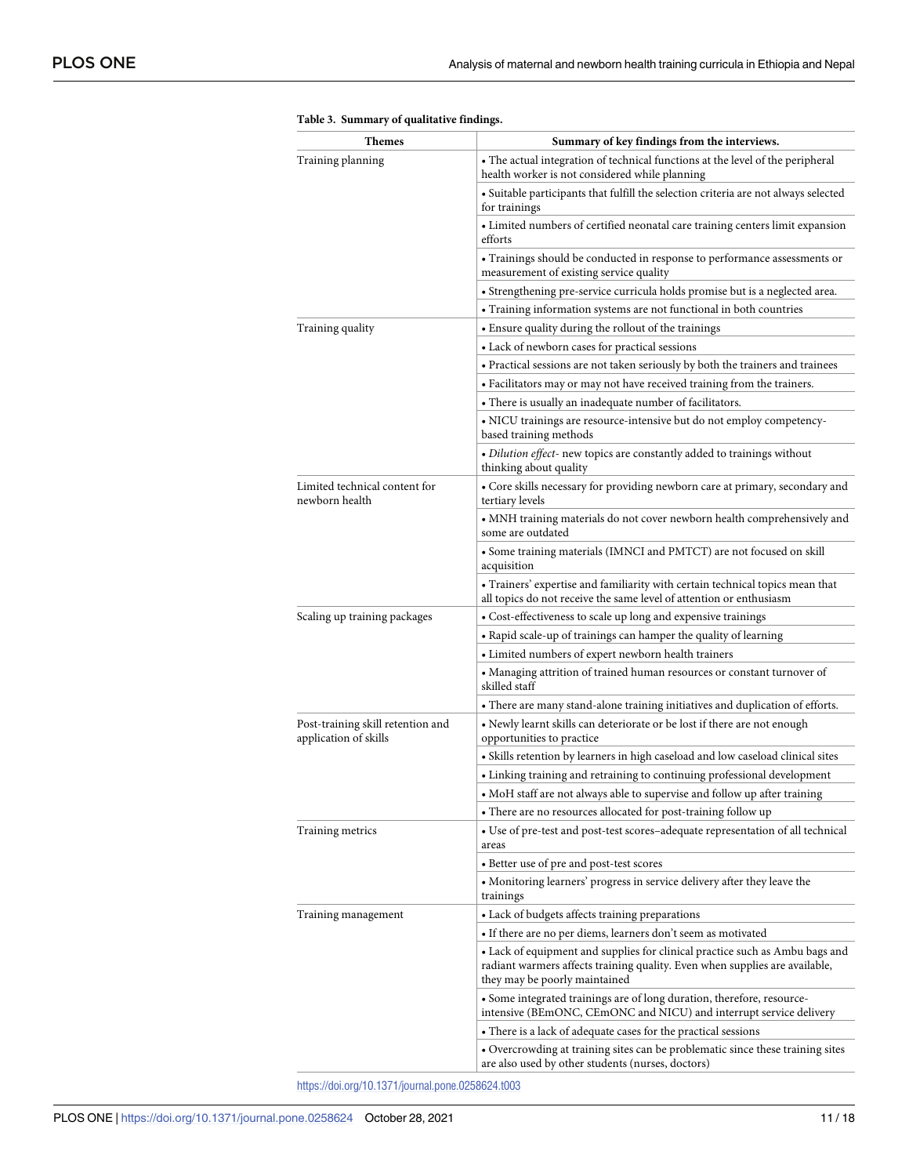<span id="page-10-0"></span>

| Themes                                                     | Summary of key findings from the interviews.                                                                                                                                                 |  |  |  |  |  |
|------------------------------------------------------------|----------------------------------------------------------------------------------------------------------------------------------------------------------------------------------------------|--|--|--|--|--|
| Training planning                                          | • The actual integration of technical functions at the level of the peripheral<br>health worker is not considered while planning                                                             |  |  |  |  |  |
|                                                            | • Suitable participants that fulfill the selection criteria are not always selected<br>for trainings                                                                                         |  |  |  |  |  |
|                                                            | • Limited numbers of certified neonatal care training centers limit expansion<br>efforts                                                                                                     |  |  |  |  |  |
|                                                            | • Trainings should be conducted in response to performance assessments or<br>measurement of existing service quality                                                                         |  |  |  |  |  |
|                                                            | • Strengthening pre-service curricula holds promise but is a neglected area.                                                                                                                 |  |  |  |  |  |
|                                                            | • Training information systems are not functional in both countries                                                                                                                          |  |  |  |  |  |
| Training quality                                           | • Ensure quality during the rollout of the trainings                                                                                                                                         |  |  |  |  |  |
|                                                            | • Lack of newborn cases for practical sessions                                                                                                                                               |  |  |  |  |  |
|                                                            | • Practical sessions are not taken seriously by both the trainers and trainees                                                                                                               |  |  |  |  |  |
|                                                            | • Facilitators may or may not have received training from the trainers.                                                                                                                      |  |  |  |  |  |
|                                                            | • There is usually an inadequate number of facilitators.                                                                                                                                     |  |  |  |  |  |
|                                                            | • NICU trainings are resource-intensive but do not employ competency-<br>based training methods                                                                                              |  |  |  |  |  |
|                                                            | · Dilution effect- new topics are constantly added to trainings without<br>thinking about quality                                                                                            |  |  |  |  |  |
| Limited technical content for<br>newborn health            | • Core skills necessary for providing newborn care at primary, secondary and<br>tertiary levels                                                                                              |  |  |  |  |  |
|                                                            | • MNH training materials do not cover newborn health comprehensively and<br>some are outdated                                                                                                |  |  |  |  |  |
|                                                            | • Some training materials (IMNCI and PMTCT) are not focused on skill<br>acquisition                                                                                                          |  |  |  |  |  |
|                                                            | • Trainers' expertise and familiarity with certain technical topics mean that<br>all topics do not receive the same level of attention or enthusiasm                                         |  |  |  |  |  |
| Scaling up training packages                               | • Cost-effectiveness to scale up long and expensive trainings                                                                                                                                |  |  |  |  |  |
|                                                            | • Rapid scale-up of trainings can hamper the quality of learning                                                                                                                             |  |  |  |  |  |
|                                                            | • Limited numbers of expert newborn health trainers                                                                                                                                          |  |  |  |  |  |
|                                                            | • Managing attrition of trained human resources or constant turnover of<br>skilled staff                                                                                                     |  |  |  |  |  |
|                                                            | • There are many stand-alone training initiatives and duplication of efforts.                                                                                                                |  |  |  |  |  |
| Post-training skill retention and<br>application of skills | · Newly learnt skills can deteriorate or be lost if there are not enough<br>opportunities to practice                                                                                        |  |  |  |  |  |
|                                                            | • Skills retention by learners in high caseload and low caseload clinical sites                                                                                                              |  |  |  |  |  |
|                                                            | • Linking training and retraining to continuing professional development                                                                                                                     |  |  |  |  |  |
|                                                            | • MoH staff are not always able to supervise and follow up after training                                                                                                                    |  |  |  |  |  |
|                                                            | • There are no resources allocated for post-training follow up                                                                                                                               |  |  |  |  |  |
| Training metrics                                           | • Use of pre-test and post-test scores-adequate representation of all technical<br>areas                                                                                                     |  |  |  |  |  |
|                                                            | • Better use of pre and post-test scores                                                                                                                                                     |  |  |  |  |  |
|                                                            | • Monitoring learners' progress in service delivery after they leave the<br>trainings                                                                                                        |  |  |  |  |  |
| Training management                                        | • Lack of budgets affects training preparations                                                                                                                                              |  |  |  |  |  |
|                                                            | • If there are no per diems, learners don't seem as motivated                                                                                                                                |  |  |  |  |  |
|                                                            | • Lack of equipment and supplies for clinical practice such as Ambu bags and<br>radiant warmers affects training quality. Even when supplies are available,<br>they may be poorly maintained |  |  |  |  |  |
|                                                            | • Some integrated trainings are of long duration, therefore, resource-<br>intensive (BEmONC, CEmONC and NICU) and interrupt service delivery                                                 |  |  |  |  |  |
|                                                            | • There is a lack of adequate cases for the practical sessions                                                                                                                               |  |  |  |  |  |
|                                                            | • Overcrowding at training sites can be problematic since these training sites<br>are also used by other students (nurses, doctors)                                                          |  |  |  |  |  |
|                                                            |                                                                                                                                                                                              |  |  |  |  |  |

|  |  |  | Table 3. Summary of qualitative findings. |  |
|--|--|--|-------------------------------------------|--|
|--|--|--|-------------------------------------------|--|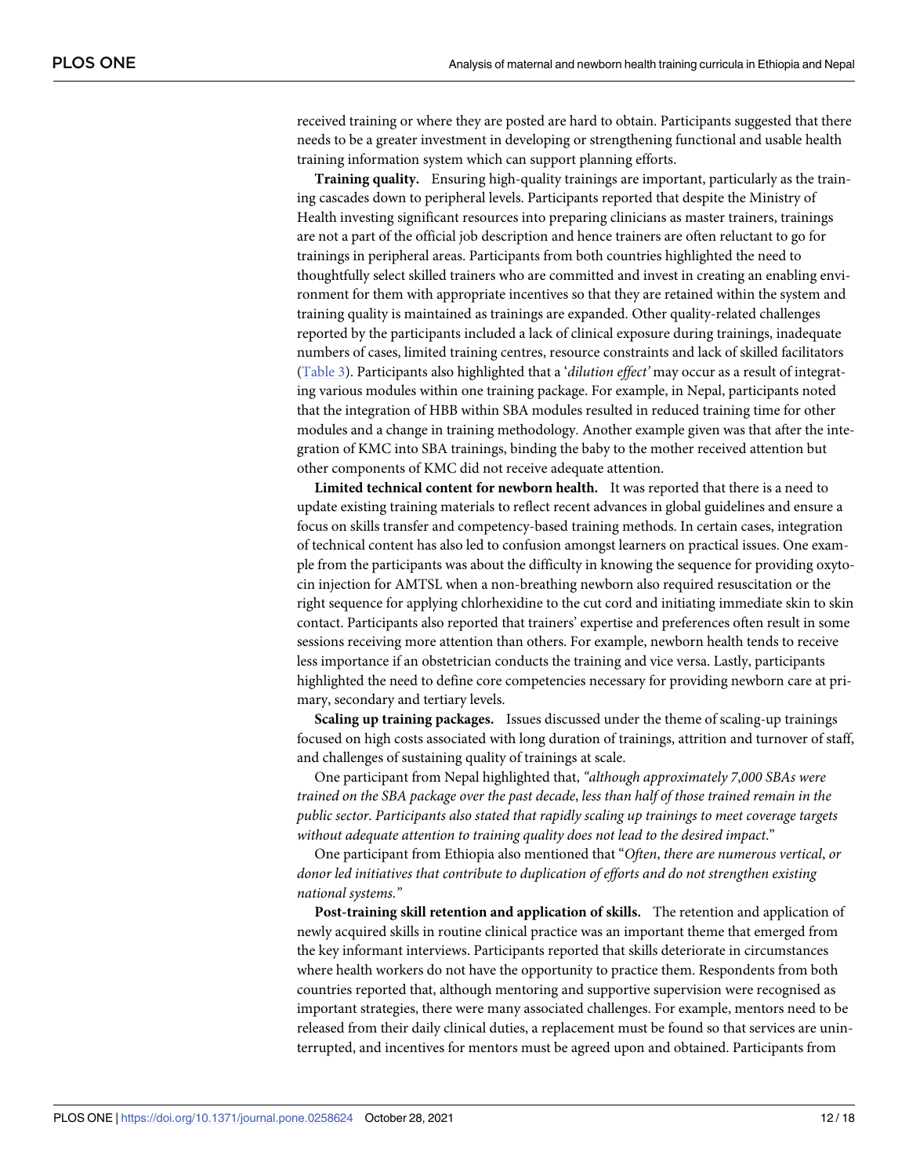received training or where they are posted are hard to obtain. Participants suggested that there needs to be a greater investment in developing or strengthening functional and usable health training information system which can support planning efforts.

**Training quality.** Ensuring high-quality trainings are important, particularly as the training cascades down to peripheral levels. Participants reported that despite the Ministry of Health investing significant resources into preparing clinicians as master trainers, trainings are not a part of the official job description and hence trainers are often reluctant to go for trainings in peripheral areas. Participants from both countries highlighted the need to thoughtfully select skilled trainers who are committed and invest in creating an enabling environment for them with appropriate incentives so that they are retained within the system and training quality is maintained as trainings are expanded. Other quality-related challenges reported by the participants included a lack of clinical exposure during trainings, inadequate numbers of cases, limited training centres, resource constraints and lack of skilled facilitators [\(Table](#page-10-0) 3). Participants also highlighted that a '*dilution effect'* may occur as a result of integrating various modules within one training package. For example, in Nepal, participants noted that the integration of HBB within SBA modules resulted in reduced training time for other modules and a change in training methodology. Another example given was that after the integration of KMC into SBA trainings, binding the baby to the mother received attention but other components of KMC did not receive adequate attention.

**Limited technical content for newborn health.** It was reported that there is a need to update existing training materials to reflect recent advances in global guidelines and ensure a focus on skills transfer and competency-based training methods. In certain cases, integration of technical content has also led to confusion amongst learners on practical issues. One example from the participants was about the difficulty in knowing the sequence for providing oxytocin injection for AMTSL when a non-breathing newborn also required resuscitation or the right sequence for applying chlorhexidine to the cut cord and initiating immediate skin to skin contact. Participants also reported that trainers' expertise and preferences often result in some sessions receiving more attention than others. For example, newborn health tends to receive less importance if an obstetrician conducts the training and vice versa. Lastly, participants highlighted the need to define core competencies necessary for providing newborn care at primary, secondary and tertiary levels.

**Scaling up training packages.** Issues discussed under the theme of scaling-up trainings focused on high costs associated with long duration of trainings, attrition and turnover of staff, and challenges of sustaining quality of trainings at scale.

One participant from Nepal highlighted that, *"although approximately 7*,*000 SBAs were trained on the SBA package over the past decade*, *less than half of those trained remain in the public sector*. *Participants also stated that rapidly scaling up trainings to meet coverage targets without adequate attention to training quality does not lead to the desired impact*."

One participant from Ethiopia also mentioned that "*Often*, *there are numerous vertical*, *or donor led initiatives that contribute to duplication of efforts and do not strengthen existing national systems*.*"*

**Post-training skill retention and application of skills.** The retention and application of newly acquired skills in routine clinical practice was an important theme that emerged from the key informant interviews. Participants reported that skills deteriorate in circumstances where health workers do not have the opportunity to practice them. Respondents from both countries reported that, although mentoring and supportive supervision were recognised as important strategies, there were many associated challenges. For example, mentors need to be released from their daily clinical duties, a replacement must be found so that services are uninterrupted, and incentives for mentors must be agreed upon and obtained. Participants from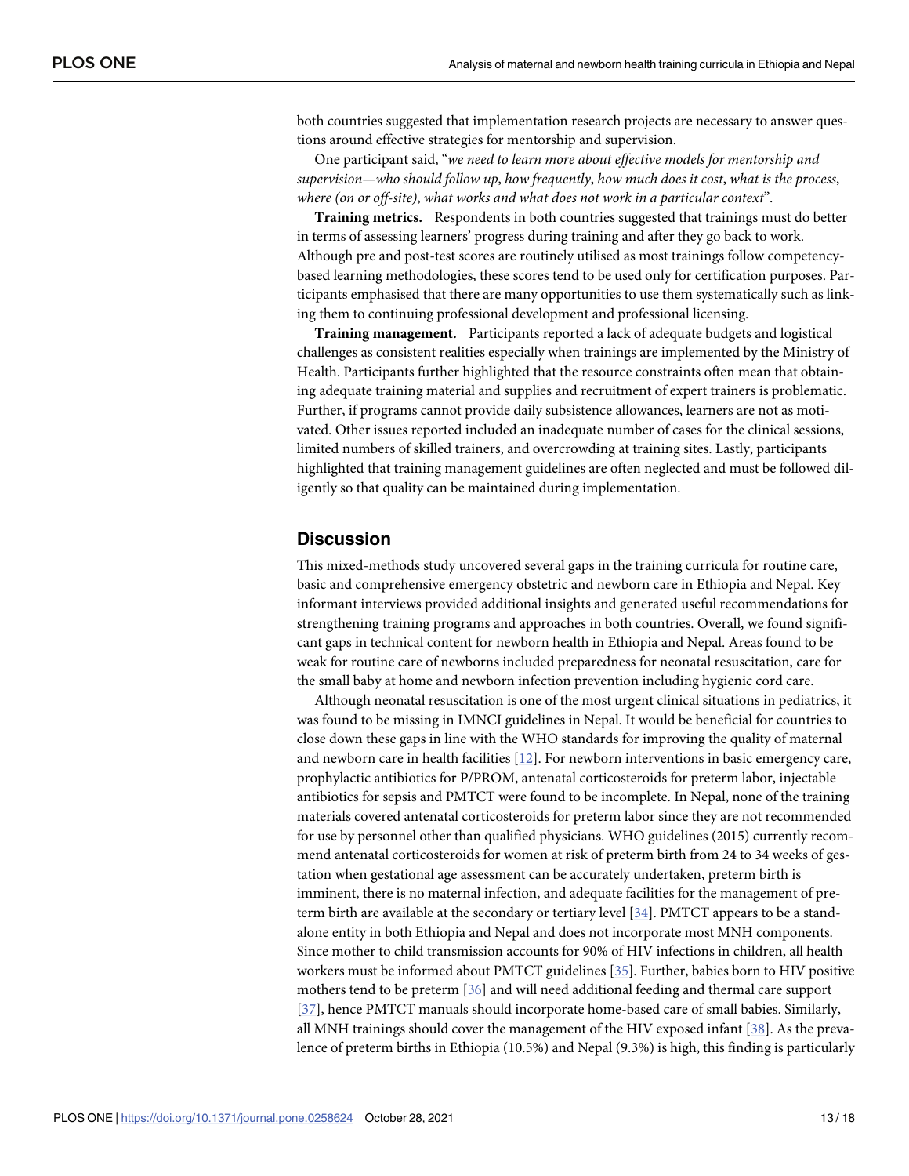<span id="page-12-0"></span>both countries suggested that implementation research projects are necessary to answer questions around effective strategies for mentorship and supervision.

One participant said, "*we need to learn more about effective models for mentorship and supervision—who should follow up*, *how frequently*, *how much does it cost*, *what is the process*, *where (on or off-site)*, *what works and what does not work in a particular context*".

**Training metrics.** Respondents in both countries suggested that trainings must do better in terms of assessing learners' progress during training and after they go back to work. Although pre and post-test scores are routinely utilised as most trainings follow competencybased learning methodologies, these scores tend to be used only for certification purposes. Participants emphasised that there are many opportunities to use them systematically such as linking them to continuing professional development and professional licensing.

**Training management.** Participants reported a lack of adequate budgets and logistical challenges as consistent realities especially when trainings are implemented by the Ministry of Health. Participants further highlighted that the resource constraints often mean that obtaining adequate training material and supplies and recruitment of expert trainers is problematic. Further, if programs cannot provide daily subsistence allowances, learners are not as motivated. Other issues reported included an inadequate number of cases for the clinical sessions, limited numbers of skilled trainers, and overcrowding at training sites. Lastly, participants highlighted that training management guidelines are often neglected and must be followed diligently so that quality can be maintained during implementation.

# **Discussion**

This mixed-methods study uncovered several gaps in the training curricula for routine care, basic and comprehensive emergency obstetric and newborn care in Ethiopia and Nepal. Key informant interviews provided additional insights and generated useful recommendations for strengthening training programs and approaches in both countries. Overall, we found significant gaps in technical content for newborn health in Ethiopia and Nepal. Areas found to be weak for routine care of newborns included preparedness for neonatal resuscitation, care for the small baby at home and newborn infection prevention including hygienic cord care.

Although neonatal resuscitation is one of the most urgent clinical situations in pediatrics, it was found to be missing in IMNCI guidelines in Nepal. It would be beneficial for countries to close down these gaps in line with the WHO standards for improving the quality of maternal and newborn care in health facilities [[12](#page-16-0)]. For newborn interventions in basic emergency care, prophylactic antibiotics for P/PROM, antenatal corticosteroids for preterm labor, injectable antibiotics for sepsis and PMTCT were found to be incomplete. In Nepal, none of the training materials covered antenatal corticosteroids for preterm labor since they are not recommended for use by personnel other than qualified physicians. WHO guidelines (2015) currently recommend antenatal corticosteroids for women at risk of preterm birth from 24 to 34 weeks of gestation when gestational age assessment can be accurately undertaken, preterm birth is imminent, there is no maternal infection, and adequate facilities for the management of preterm birth are available at the secondary or tertiary level [\[34\]](#page-17-0). PMTCT appears to be a standalone entity in both Ethiopia and Nepal and does not incorporate most MNH components. Since mother to child transmission accounts for 90% of HIV infections in children, all health workers must be informed about PMTCT guidelines [[35](#page-17-0)]. Further, babies born to HIV positive mothers tend to be preterm [\[36\]](#page-17-0) and will need additional feeding and thermal care support [\[37\]](#page-17-0), hence PMTCT manuals should incorporate home-based care of small babies. Similarly, all MNH trainings should cover the management of the HIV exposed infant [[38](#page-17-0)]. As the prevalence of preterm births in Ethiopia (10.5%) and Nepal (9.3%) is high, this finding is particularly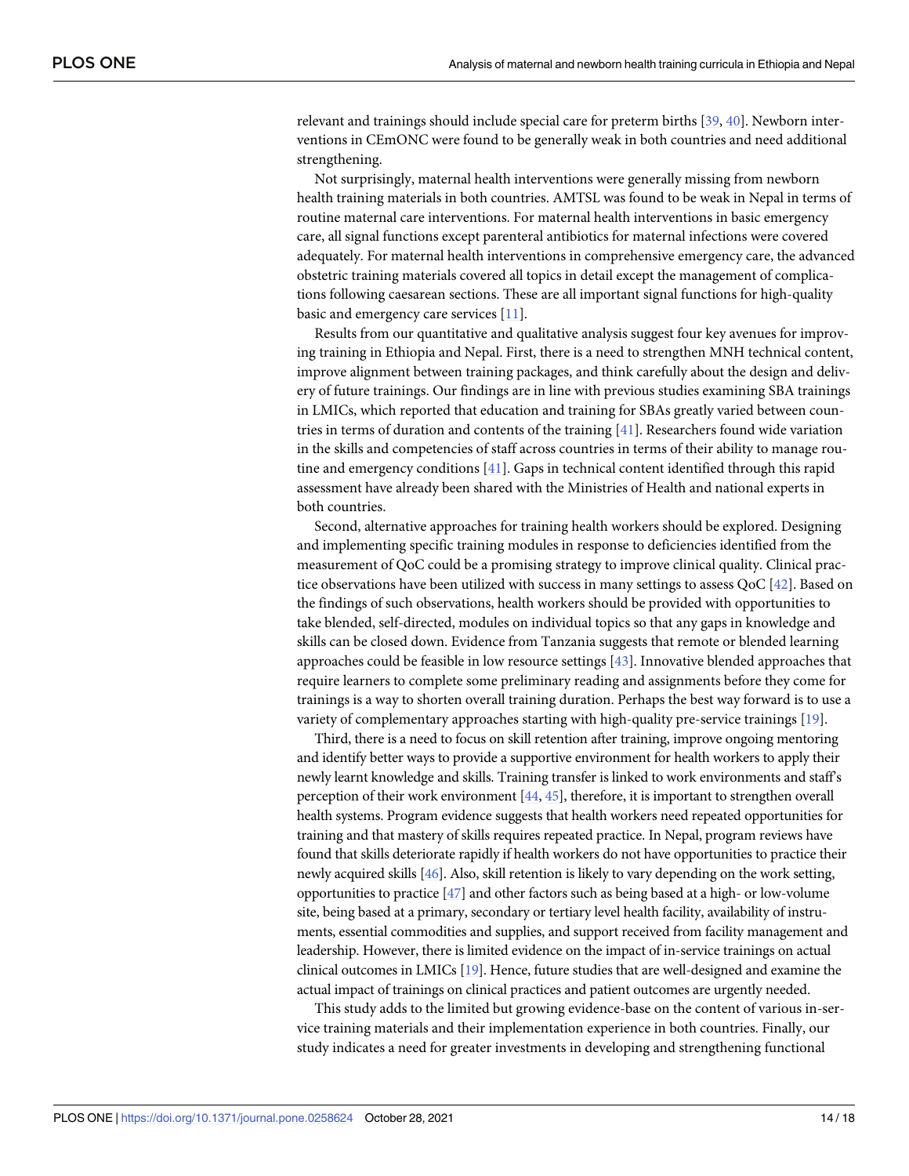<span id="page-13-0"></span>relevant and trainings should include special care for preterm births [\[39,](#page-17-0) [40\]](#page-17-0). Newborn interventions in CEmONC were found to be generally weak in both countries and need additional strengthening.

Not surprisingly, maternal health interventions were generally missing from newborn health training materials in both countries. AMTSL was found to be weak in Nepal in terms of routine maternal care interventions. For maternal health interventions in basic emergency care, all signal functions except parenteral antibiotics for maternal infections were covered adequately. For maternal health interventions in comprehensive emergency care, the advanced obstetric training materials covered all topics in detail except the management of complications following caesarean sections. These are all important signal functions for high-quality basic and emergency care services [\[11\]](#page-16-0).

Results from our quantitative and qualitative analysis suggest four key avenues for improving training in Ethiopia and Nepal. First, there is a need to strengthen MNH technical content, improve alignment between training packages, and think carefully about the design and delivery of future trainings. Our findings are in line with previous studies examining SBA trainings in LMICs, which reported that education and training for SBAs greatly varied between countries in terms of duration and contents of the training [[41](#page-17-0)]. Researchers found wide variation in the skills and competencies of staff across countries in terms of their ability to manage routine and emergency conditions [[41](#page-17-0)]. Gaps in technical content identified through this rapid assessment have already been shared with the Ministries of Health and national experts in both countries.

Second, alternative approaches for training health workers should be explored. Designing and implementing specific training modules in response to deficiencies identified from the measurement of QoC could be a promising strategy to improve clinical quality. Clinical practice observations have been utilized with success in many settings to assess QoC [\[42\]](#page-17-0). Based on the findings of such observations, health workers should be provided with opportunities to take blended, self-directed, modules on individual topics so that any gaps in knowledge and skills can be closed down. Evidence from Tanzania suggests that remote or blended learning approaches could be feasible in low resource settings [\[43\]](#page-17-0). Innovative blended approaches that require learners to complete some preliminary reading and assignments before they come for trainings is a way to shorten overall training duration. Perhaps the best way forward is to use a variety of complementary approaches starting with high-quality pre-service trainings [[19](#page-16-0)].

Third, there is a need to focus on skill retention after training, improve ongoing mentoring and identify better ways to provide a supportive environment for health workers to apply their newly learnt knowledge and skills. Training transfer is linked to work environments and staff's perception of their work environment [[44,](#page-17-0) [45\]](#page-17-0), therefore, it is important to strengthen overall health systems. Program evidence suggests that health workers need repeated opportunities for training and that mastery of skills requires repeated practice. In Nepal, program reviews have found that skills deteriorate rapidly if health workers do not have opportunities to practice their newly acquired skills [\[46](#page-17-0)]. Also, skill retention is likely to vary depending on the work setting, opportunities to practice [\[47\]](#page-17-0) and other factors such as being based at a high- or low-volume site, being based at a primary, secondary or tertiary level health facility, availability of instruments, essential commodities and supplies, and support received from facility management and leadership. However, there is limited evidence on the impact of in-service trainings on actual clinical outcomes in LMICs [\[19](#page-16-0)]. Hence, future studies that are well-designed and examine the actual impact of trainings on clinical practices and patient outcomes are urgently needed.

This study adds to the limited but growing evidence-base on the content of various in-service training materials and their implementation experience in both countries. Finally, our study indicates a need for greater investments in developing and strengthening functional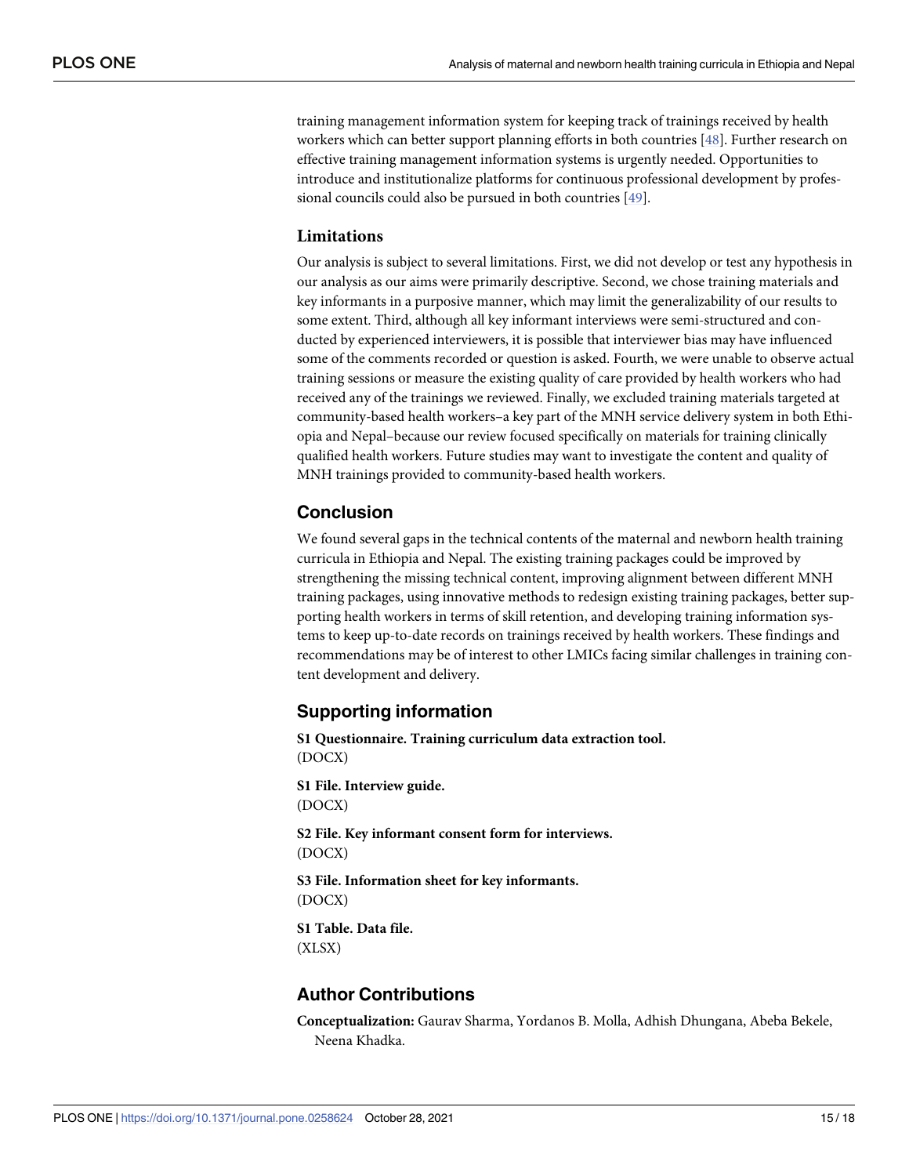<span id="page-14-0"></span>training management information system for keeping track of trainings received by health workers which can better support planning efforts in both countries [\[48\]](#page-17-0). Further research on effective training management information systems is urgently needed. Opportunities to introduce and institutionalize platforms for continuous professional development by professional councils could also be pursued in both countries [\[49\]](#page-17-0).

# **Limitations**

Our analysis is subject to several limitations. First, we did not develop or test any hypothesis in our analysis as our aims were primarily descriptive. Second, we chose training materials and key informants in a purposive manner, which may limit the generalizability of our results to some extent. Third, although all key informant interviews were semi-structured and conducted by experienced interviewers, it is possible that interviewer bias may have influenced some of the comments recorded or question is asked. Fourth, we were unable to observe actual training sessions or measure the existing quality of care provided by health workers who had received any of the trainings we reviewed. Finally, we excluded training materials targeted at community-based health workers–a key part of the MNH service delivery system in both Ethiopia and Nepal–because our review focused specifically on materials for training clinically qualified health workers. Future studies may want to investigate the content and quality of MNH trainings provided to community-based health workers.

# **Conclusion**

We found several gaps in the technical contents of the maternal and newborn health training curricula in Ethiopia and Nepal. The existing training packages could be improved by strengthening the missing technical content, improving alignment between different MNH training packages, using innovative methods to redesign existing training packages, better supporting health workers in terms of skill retention, and developing training information systems to keep up-to-date records on trainings received by health workers. These findings and recommendations may be of interest to other LMICs facing similar challenges in training content development and delivery.

# **Supporting information**

**S1 [Questionnaire.](http://www.plosone.org/article/fetchSingleRepresentation.action?uri=info:doi/10.1371/journal.pone.0258624.s001) Training curriculum data extraction tool.** (DOCX)

**S1 [File.](http://www.plosone.org/article/fetchSingleRepresentation.action?uri=info:doi/10.1371/journal.pone.0258624.s002) Interview guide.** (DOCX)

**S2 [File.](http://www.plosone.org/article/fetchSingleRepresentation.action?uri=info:doi/10.1371/journal.pone.0258624.s003) Key informant consent form for interviews.** (DOCX)

**S3 [File.](http://www.plosone.org/article/fetchSingleRepresentation.action?uri=info:doi/10.1371/journal.pone.0258624.s004) Information sheet for key informants.** (DOCX)

**S1 [Table.](http://www.plosone.org/article/fetchSingleRepresentation.action?uri=info:doi/10.1371/journal.pone.0258624.s005) Data file.** (XLSX)

# **Author Contributions**

**Conceptualization:** Gaurav Sharma, Yordanos B. Molla, Adhish Dhungana, Abeba Bekele, Neena Khadka.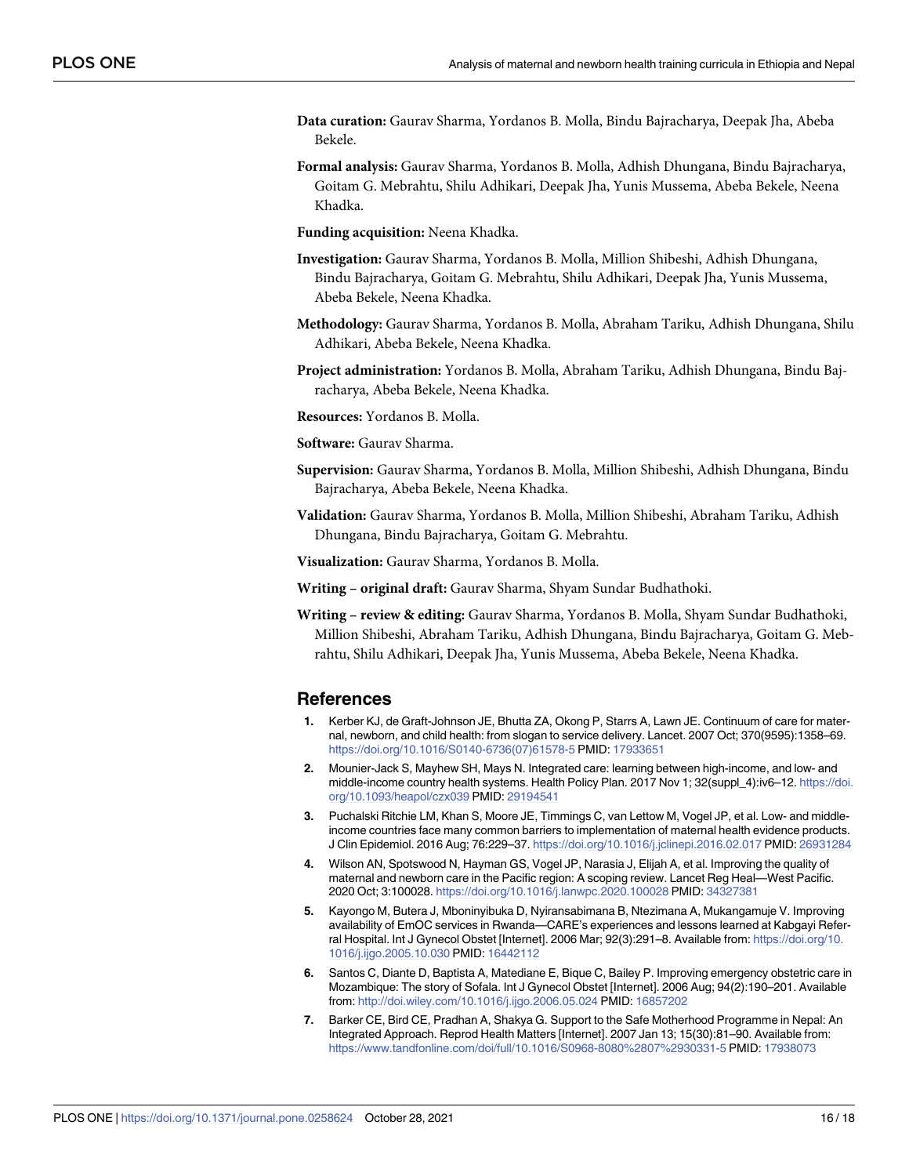- <span id="page-15-0"></span>**Data curation:** Gaurav Sharma, Yordanos B. Molla, Bindu Bajracharya, Deepak Jha, Abeba Bekele.
- **Formal analysis:** Gaurav Sharma, Yordanos B. Molla, Adhish Dhungana, Bindu Bajracharya, Goitam G. Mebrahtu, Shilu Adhikari, Deepak Jha, Yunis Mussema, Abeba Bekele, Neena Khadka.
- **Funding acquisition:** Neena Khadka.
- **Investigation:** Gaurav Sharma, Yordanos B. Molla, Million Shibeshi, Adhish Dhungana, Bindu Bajracharya, Goitam G. Mebrahtu, Shilu Adhikari, Deepak Jha, Yunis Mussema, Abeba Bekele, Neena Khadka.
- **Methodology:** Gaurav Sharma, Yordanos B. Molla, Abraham Tariku, Adhish Dhungana, Shilu Adhikari, Abeba Bekele, Neena Khadka.
- **Project administration:** Yordanos B. Molla, Abraham Tariku, Adhish Dhungana, Bindu Bajracharya, Abeba Bekele, Neena Khadka.
- **Resources:** Yordanos B. Molla.
- **Software:** Gaurav Sharma.
- **Supervision:** Gaurav Sharma, Yordanos B. Molla, Million Shibeshi, Adhish Dhungana, Bindu Bajracharya, Abeba Bekele, Neena Khadka.
- **Validation:** Gaurav Sharma, Yordanos B. Molla, Million Shibeshi, Abraham Tariku, Adhish Dhungana, Bindu Bajracharya, Goitam G. Mebrahtu.
- **Visualization:** Gaurav Sharma, Yordanos B. Molla.
- **Writing – original draft:** Gaurav Sharma, Shyam Sundar Budhathoki.
- **Writing – review & editing:** Gaurav Sharma, Yordanos B. Molla, Shyam Sundar Budhathoki, Million Shibeshi, Abraham Tariku, Adhish Dhungana, Bindu Bajracharya, Goitam G. Mebrahtu, Shilu Adhikari, Deepak Jha, Yunis Mussema, Abeba Bekele, Neena Khadka.

#### **References**

- **[1](#page-1-0).** Kerber KJ, de Graft-Johnson JE, Bhutta ZA, Okong P, Starrs A, Lawn JE. Continuum of care for maternal, newborn, and child health: from slogan to service delivery. Lancet. 2007 Oct; 370(9595):1358–69. [https://doi.org/10.1016/S0140-6736\(07\)61578-5](https://doi.org/10.1016/S0140-6736%2807%2961578-5) PMID: [17933651](http://www.ncbi.nlm.nih.gov/pubmed/17933651)
- **[2](#page-1-0).** Mounier-Jack S, Mayhew SH, Mays N. Integrated care: learning between high-income, and low- and middle-income country health systems. Health Policy Plan. 2017 Nov 1; 32(suppl\_4):iv6-12. [https://doi.](https://doi.org/10.1093/heapol/czx039) [org/10.1093/heapol/czx039](https://doi.org/10.1093/heapol/czx039) PMID: [29194541](http://www.ncbi.nlm.nih.gov/pubmed/29194541)
- **[3](#page-1-0).** Puchalski Ritchie LM, Khan S, Moore JE, Timmings C, van Lettow M, Vogel JP, et al. Low- and middleincome countries face many common barriers to implementation of maternal health evidence products. J Clin Epidemiol. 2016 Aug; 76:229–37. <https://doi.org/10.1016/j.jclinepi.2016.02.017> PMID: [26931284](http://www.ncbi.nlm.nih.gov/pubmed/26931284)
- **[4](#page-1-0).** Wilson AN, Spotswood N, Hayman GS, Vogel JP, Narasia J, Elijah A, et al. Improving the quality of maternal and newborn care in the Pacific region: A scoping review. Lancet Reg Heal—West Pacific. 2020 Oct; 3:100028. <https://doi.org/10.1016/j.lanwpc.2020.100028> PMID: [34327381](http://www.ncbi.nlm.nih.gov/pubmed/34327381)
- **5.** Kayongo M, Butera J, Mboninyibuka D, Nyiransabimana B, Ntezimana A, Mukangamuje V. Improving availability of EmOC services in Rwanda—CARE's experiences and lessons learned at Kabgayi Referral Hospital. Int J Gynecol Obstet [Internet]. 2006 Mar; 92(3):291–8. Available from: [https://doi.org/10.](https://doi.org/10.1016/j.ijgo.2005.10.030) [1016/j.ijgo.2005.10.030](https://doi.org/10.1016/j.ijgo.2005.10.030) PMID: [16442112](http://www.ncbi.nlm.nih.gov/pubmed/16442112)
- **6.** Santos C, Diante D, Baptista A, Matediane E, Bique C, Bailey P. Improving emergency obstetric care in Mozambique: The story of Sofala. Int J Gynecol Obstet [Internet]. 2006 Aug; 94(2):190–201. Available from: <http://doi.wiley.com/10.1016/j.ijgo.2006.05.024> PMID: [16857202](http://www.ncbi.nlm.nih.gov/pubmed/16857202)
- **[7](#page-1-0).** Barker CE, Bird CE, Pradhan A, Shakya G. Support to the Safe Motherhood Programme in Nepal: An Integrated Approach. Reprod Health Matters [Internet]. 2007 Jan 13; 15(30):81–90. Available from: <https://www.tandfonline.com/doi/full/10.1016/S0968-8080%2807%2930331-5> PMID: [17938073](http://www.ncbi.nlm.nih.gov/pubmed/17938073)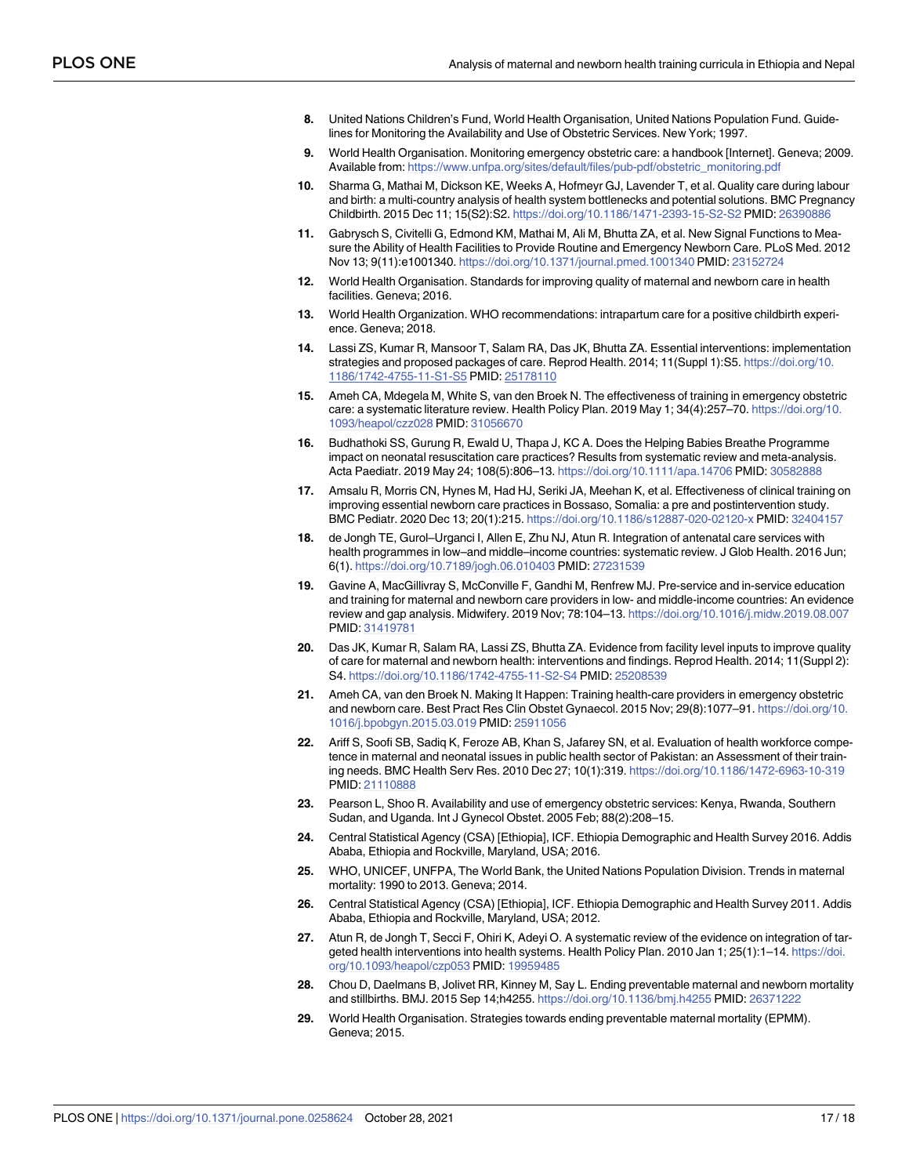- <span id="page-16-0"></span>**[8](#page-1-0).** United Nations Children's Fund, World Health Organisation, United Nations Population Fund. Guidelines for Monitoring the Availability and Use of Obstetric Services. New York; 1997.
- **[9](#page-1-0).** World Health Organisation. Monitoring emergency obstetric care: a handbook [Internet]. Geneva; 2009. Available from: [https://www.unfpa.org/sites/default/files/pub-pdf/obstetric\\_monitoring.pdf](https://www.unfpa.org/sites/default/files/pub-pdf/obstetric_monitoring.pdf)
- **[10](#page-1-0).** Sharma G, Mathai M, Dickson KE, Weeks A, Hofmeyr GJ, Lavender T, et al. Quality care during labour and birth: a multi-country analysis of health system bottlenecks and potential solutions. BMC Pregnancy Childbirth. 2015 Dec 11; 15(S2):S2. <https://doi.org/10.1186/1471-2393-15-S2-S2> PMID: [26390886](http://www.ncbi.nlm.nih.gov/pubmed/26390886)
- **[11](#page-2-0).** Gabrysch S, Civitelli G, Edmond KM, Mathai M, Ali M, Bhutta ZA, et al. New Signal Functions to Measure the Ability of Health Facilities to Provide Routine and Emergency Newborn Care. PLoS Med. 2012 Nov 13; 9(11):e1001340. <https://doi.org/10.1371/journal.pmed.1001340> PMID: [23152724](http://www.ncbi.nlm.nih.gov/pubmed/23152724)
- **[12](#page-1-0).** World Health Organisation. Standards for improving quality of maternal and newborn care in health facilities. Geneva; 2016.
- **[13](#page-2-0).** World Health Organization. WHO recommendations: intrapartum care for a positive childbirth experience. Geneva; 2018.
- **[14](#page-1-0).** Lassi ZS, Kumar R, Mansoor T, Salam RA, Das JK, Bhutta ZA. Essential interventions: implementation strategies and proposed packages of care. Reprod Health. 2014; 11(Suppl 1):S5. [https://doi.org/10.](https://doi.org/10.1186/1742-4755-11-S1-S5) [1186/1742-4755-11-S1-S5](https://doi.org/10.1186/1742-4755-11-S1-S5) PMID: [25178110](http://www.ncbi.nlm.nih.gov/pubmed/25178110)
- **[15](#page-1-0).** Ameh CA, Mdegela M, White S, van den Broek N. The effectiveness of training in emergency obstetric care: a systematic literature review. Health Policy Plan. 2019 May 1; 34(4):257–70. [https://doi.org/10.](https://doi.org/10.1093/heapol/czz028) [1093/heapol/czz028](https://doi.org/10.1093/heapol/czz028) PMID: [31056670](http://www.ncbi.nlm.nih.gov/pubmed/31056670)
- **16.** Budhathoki SS, Gurung R, Ewald U, Thapa J, KC A. Does the Helping Babies Breathe Programme impact on neonatal resuscitation care practices? Results from systematic review and meta-analysis. Acta Paediatr. 2019 May 24; 108(5):806–13. <https://doi.org/10.1111/apa.14706> PMID: [30582888](http://www.ncbi.nlm.nih.gov/pubmed/30582888)
- **[17](#page-1-0).** Amsalu R, Morris CN, Hynes M, Had HJ, Seriki JA, Meehan K, et al. Effectiveness of clinical training on improving essential newborn care practices in Bossaso, Somalia: a pre and postintervention study. BMC Pediatr. 2020 Dec 13; 20(1):215. <https://doi.org/10.1186/s12887-020-02120-x> PMID: [32404157](http://www.ncbi.nlm.nih.gov/pubmed/32404157)
- **[18](#page-1-0).** de Jongh TE, Gurol–Urganci I, Allen E, Zhu NJ, Atun R. Integration of antenatal care services with health programmes in low–and middle–income countries: systematic review. J Glob Health. 2016 Jun; 6(1). <https://doi.org/10.7189/jogh.06.010403> PMID: [27231539](http://www.ncbi.nlm.nih.gov/pubmed/27231539)
- **[19](#page-1-0).** Gavine A, MacGillivray S, McConville F, Gandhi M, Renfrew MJ. Pre-service and in-service education and training for maternal and newborn care providers in low- and middle-income countries: An evidence review and gap analysis. Midwifery. 2019 Nov; 78:104–13. <https://doi.org/10.1016/j.midw.2019.08.007> PMID: [31419781](http://www.ncbi.nlm.nih.gov/pubmed/31419781)
- **[20](#page-1-0).** Das JK, Kumar R, Salam RA, Lassi ZS, Bhutta ZA. Evidence from facility level inputs to improve quality of care for maternal and newborn health: interventions and findings. Reprod Health. 2014; 11(Suppl 2): S4. <https://doi.org/10.1186/1742-4755-11-S2-S4> PMID: [25208539](http://www.ncbi.nlm.nih.gov/pubmed/25208539)
- **[21](#page-2-0).** Ameh CA, van den Broek N. Making It Happen: Training health-care providers in emergency obstetric and newborn care. Best Pract Res Clin Obstet Gynaecol. 2015 Nov; 29(8):1077–91. [https://doi.org/10.](https://doi.org/10.1016/j.bpobgyn.2015.03.019) [1016/j.bpobgyn.2015.03.019](https://doi.org/10.1016/j.bpobgyn.2015.03.019) PMID: [25911056](http://www.ncbi.nlm.nih.gov/pubmed/25911056)
- **[22](#page-2-0).** Ariff S, Soofi SB, Sadiq K, Feroze AB, Khan S, Jafarey SN, et al. Evaluation of health workforce competence in maternal and neonatal issues in public health sector of Pakistan: an Assessment of their training needs. BMC Health Serv Res. 2010 Dec 27; 10(1):319. <https://doi.org/10.1186/1472-6963-10-319> PMID: [21110888](http://www.ncbi.nlm.nih.gov/pubmed/21110888)
- **[23](#page-2-0).** Pearson L, Shoo R. Availability and use of emergency obstetric services: Kenya, Rwanda, Southern Sudan, and Uganda. Int J Gynecol Obstet. 2005 Feb; 88(2):208–15.
- **[24](#page-2-0).** Central Statistical Agency (CSA) [Ethiopia], ICF. Ethiopia Demographic and Health Survey 2016. Addis Ababa, Ethiopia and Rockville, Maryland, USA; 2016.
- **[25](#page-2-0).** WHO, UNICEF, UNFPA, The World Bank, the United Nations Population Division. Trends in maternal mortality: 1990 to 2013. Geneva; 2014.
- **[26](#page-2-0).** Central Statistical Agency (CSA) [Ethiopia], ICF. Ethiopia Demographic and Health Survey 2011. Addis Ababa, Ethiopia and Rockville, Maryland, USA; 2012.
- **[27](#page-2-0).** Atun R, de Jongh T, Secci F, Ohiri K, Adeyi O. A systematic review of the evidence on integration of targeted health interventions into health systems. Health Policy Plan. 2010 Jan 1; 25(1):1–14. [https://doi.](https://doi.org/10.1093/heapol/czp053) [org/10.1093/heapol/czp053](https://doi.org/10.1093/heapol/czp053) PMID: [19959485](http://www.ncbi.nlm.nih.gov/pubmed/19959485)
- **[28](#page-2-0).** Chou D, Daelmans B, Jolivet RR, Kinney M, Say L. Ending preventable maternal and newborn mortality and stillbirths. BMJ. 2015 Sep 14;h4255. <https://doi.org/10.1136/bmj.h4255> PMID: [26371222](http://www.ncbi.nlm.nih.gov/pubmed/26371222)
- **[29](#page-2-0).** World Health Organisation. Strategies towards ending preventable maternal mortality (EPMM). Geneva; 2015.